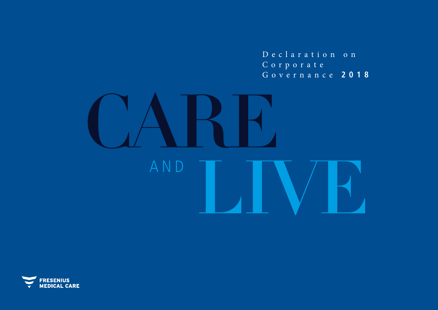Declaration on Corporate Governance **2018**



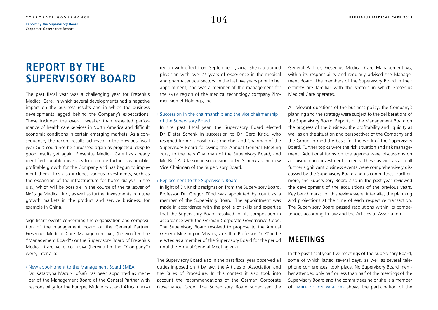# <span id="page-1-0"></span>**REPORT BY THE SUPERVISORY BOARD**

The past fiscal year was a challenging year for Fresenius Medical Care, in which several developments had a negative impact on the business results and in which the business developments lagged behind the Company's expectations. These included the overall weaker than expected performance of health care services in North America and difficult economic conditions in certain emerging markets. As a consequence, the record results achieved in the previous fiscal year 2017 could not be surpassed again as projected, despite good results yet again. Fresenius Medical Care has already identified suitable measures to promote further sustainable, profitable growth for the Company and has begun to implement them. This also includes various investments, such as the expansion of the infrastructure for home dialysis in the u.s., which will be possible in the course of the takeover of NxStage Medical, Inc., as well as further investments in future growth markets in the product and service business, for example in China.

Significant events concerning the organization and composition of the management board of the General Partner, Fresenius Medical Care Management ag, (hereinafter the "Management Board") or the Supervisory Board of Fresenius Medical Care ag & co. kgaa (hereinafter the "Company") were, inter alia:

#### › New appointment to the Management Board EMEA

Dr. Katarzyna Mazur-Hofsäß has been appointed as member of the Management Board of the General Partner with responsibility for the Europe, Middle East and Africa (emea) region with effect from September 1, 2018. She is a trained physician with over 25 years of experience in the medical and pharmaceutical sectors. In the last five years prior to her appointment, she was a member of the management for the emea region of the medical technology company Zimmer Biomet Holdings, Inc.

### $\rightarrow$  Succession in the chairmanship and the vice chairmanship of the Supervisory Board

In the past fiscal year, the Supervisory Board elected Dr. Dieter Schenk in succession to Dr. Gerd Krick, who resigned from his position as member and Chairman of the Supervisory Board following the Annual General Meeting 2018, to the new Chairman of the Supervisory Board, and Mr. Rolf A. Classon in succession to Dr. Schenk as the new Vice Chairman of the Supervisory Board.

#### › Replacement to the Supervisory Board

In light of Dr. Krick's resignation from the Supervisory Board, Professor Dr. Gregor Zünd was appointed by court as a member of the Supervisory Board. The appointment was made in accordance with the profile of skills and expertise that the Supervisory Board resolved for its composition in accordance with the German Corporate Governance Code. The Supervisory Board resolved to propose to the Annual General Meeting on May 16, 2019 that Professor Dr. Zünd be elected as a member of the Supervisory Board for the period until the Annual General Meeting 2021.

The Supervisory Board also in the past fiscal year observed all duties imposed on it by law, the Articles of Association and the Rules of Procedure. In this context it also took into account the recommendations of the German Corporate Governance Code. The Supervisory Board supervised the General Partner, Fresenius Medical Care Management ag, within its responsibility and regularly advised the Management Board. The members of the Supervisory Board in their entirety are familiar with the sectors in which Fresenius Medical Care operates.

All relevant questions of the business policy, the Company's planning and the strategy were subject to the deliberations of the Supervisory Board. Reports of the Management Board on the progress of the business, the profitability and liquidity as well as on the situation and perspectives of the Company and the Group formed the basis for the work of the Supervisory Board. Further topics were the risk situation and risk management. Additional items on the agenda were discussions on acquisition and investment projects. These as well as also all further significant business events were comprehensively discussed by the Supervisory Board and its committees. Furthermore, the Supervisory Board also in the past year reviewed the development of the acquisitions of the previous years. Key benchmarks for this review were, inter alia, the planning and projections at the time of each respective transaction. The Supervisory Board passed resolutions within its competencies according to law and the Articles of Association.

# **MEETINGS**

In the past fiscal year, five meetings of the Supervisory Board, some of which lasted several days, as well as several telephone conferences, took place. No Supervisory Board member attended only half or less than half of the meetings of the Supervisory Board and the committees he or she is a member of. [table 4.1 on page 105](#page-2-0) shows the participation of the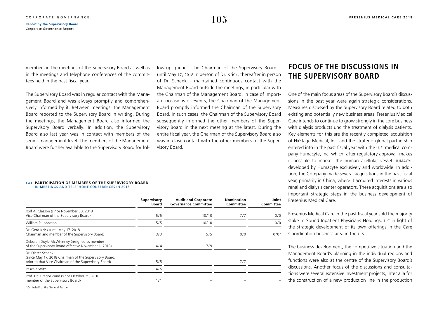<span id="page-2-0"></span>members in the meetings of the Supervisory Board as well as in the meetings and telephone conferences of the committees held in the past fiscal year.

The Supervisory Board was in regular contact with the Management Board and was always promptly and comprehensively informed by it. Between meetings, the Management Board reported to the Supervisory Board in writing. During the meetings, the Management Board also informed the Supervisory Board verbally. In addition, the Supervisory Board also last year was in contact with members of the senior management level. The members of the Management Board were further available to the Supervisory Board for follow-up queries. The Chairman of the Supervisory Board – until May 17, 2018 in person of Dr. Krick, thereafter in person of Dr. Schenk – maintained continuous contact with the Management Board outside the meetings, in particular with the Chairman of the Management Board. In case of important occasions or events, the Chairman of the Management Board promptly informed the Chairman of the Supervisory Board. In such cases, the Chairman of the Supervisory Board subsequently informed the other members of the Supervisory Board in the next meeting at the latest. During the entire fiscal year, the Chairman of the Supervisory Board also was in close contact with the other members of the Supervisory Board.

#### **T 4.1 PARTICIPATION OF MEMBERS OF THE SUPERVISORY BOARD** IN MEETINGS AND TELEPHONE CONFERENCES IN 2018

|                                                                                                                                      | Supervisory<br>Board | <b>Audit and Corporate</b><br><b>Governance Committee</b> | <b>Nomination</b><br>Committee | Joint<br>Committee |
|--------------------------------------------------------------------------------------------------------------------------------------|----------------------|-----------------------------------------------------------|--------------------------------|--------------------|
| Rolf A. Classon (since November 30, 2018)<br>Vice Chairman of the Supervisory Board)                                                 | 5/5                  | 10/10                                                     | 7/7                            | 0/0                |
| William P. Johnston                                                                                                                  | 5/5                  | 10/10                                                     |                                | 0/0                |
| Dr. Gerd Krick (until May 17, 2018)<br>Chairman and member of the Supervisory Board)                                                 | 3/3                  | 5/5                                                       | 0/0                            | 0/0 <sup>1</sup>   |
| Deborah Doyle McWhinney (resigned as member<br>of the Supervisory Board effective November 1, 2018)                                  | 4/4                  | 7/9                                                       |                                |                    |
| Dr. Dieter Schenk<br>(since May 17, 2018 Chairman of the Supervisory Board,<br>prior to that Vice Chairman of the Supervisory Board) | 5/5                  |                                                           | 7/7                            |                    |
| Pascale Witz                                                                                                                         | 4/5                  |                                                           |                                |                    |
| Prof. Dr. Gregor Zünd (since October 29, 2018)<br>member of the Supervisory Board)                                                   | 1/1                  |                                                           |                                |                    |

1 On behalf of the General Partner.

# **FOCUS OF THE DISCUSSIONS IN THE SUPERVISORY BOARD**

One of the main focus areas of the Supervisory Board's discussions in the past year were again strategic considerations. Measures discussed by the Supervisory Board related to both existing and potentially new business areas. Fresenius Medical Care intends to continue to grow strongly in the core business with dialysis products und the treatment of dialysis patients. Key elements for this are the recently completed acquisition of NxStage Medical, Inc. and the strategic global partnership entered into in the past fiscal year with the u.s. medical company Humacyte, Inc. which, after regulatory approval, makes it possible to market the human acellular vessel humacyl developed by Humacyte exclusively and worldwide. In addition, the Company made several acquisitions in the past fiscal year, primarily in China, where it acquired interests in various renal and dialysis center operators. These acquisitions are also important strategic steps in the business development of Fresenius Medical Care.

Fresenius Medical Care in the past fiscal year sold the majority stake in Sound Inpatient Physicians Holdings, LLC in light of the strategic development of its own offerings in the Care Coordination business area in the u.s.

The business development, the competitive situation and the Management Board's planning in the individual regions and functions were also at the centre of the Supervisory Board's discussions. Another focus of the discussions and consultations were several extensive investment projects, inter alia for the construction of a new production line in the production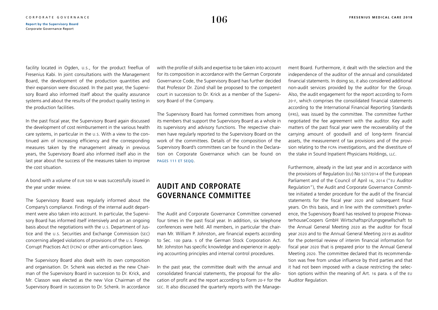facility located in Ogden, u.s., for the product freeflux of Fresenius Kabi. In joint consultations with the Management Board, the development of the production quantities and their expansion were discussed. In the past year, the Supervisory Board also informed itself about the quality assurance systems and about the results of the product quality testing in the production facilities.

In the past fiscal year, the Supervisory Board again discussed the development of cost reimbursement in the various health care systems, in particular in the u.s. With a view to the continued aim of increasing efficiency and the corresponding measures taken by the management already in previous years, the Supervisory Board also informed itself also in the last year about the success of the measures taken to improve the cost situation.

A bond with a volume of eur 500 m was successfully issued in the year under review.

The Supervisory Board was regularly informed about the Company's compliance. Findings of the internal audit department were also taken into account. In particular, the Supervisory Board has informed itself intensively and on an ongoing basis about the negotiations with the u.s. Department of Justice and the u.s. Securities and Exchange Commission (sec) concerning alleged violations of provisions of the u.s. Foreign Corrupt Practices Act (fcpa) or other anti-corruption laws.

The Supervisory Board also dealt with its own composition and organisation. Dr. Schenk was elected as the new Chairman of the Supervisory Board in succession to Dr. Krick, and Mr. Classon was elected as the new Vice Chairman of the Supervisory Board in succession to Dr. Schenk. In accordance with the profile of skills and expertise to be taken into account for its composition in accordance with the German Corporate Governance Code, the Supervisory Board has further decided that Professor Dr. Zünd shall be proposed to the competent court in succession to Dr. Krick as a member of the Supervisory Board of the Company.

The Supervisory Board has formed committees from among its members that support the Supervisory Board as a whole in its supervisory and advisory functions. The respective chairmen have regularly reported to the Supervisory Board on the work of the committees. Details of the composition of the Supervisory Board's committees can be found in the Declaration on Corporate Governance which can be found on [pages 111 et seqq](#page-8-0).

# **AUDIT AND CORPORATE GOVERNANCE COMMITTEE**

The Audit and Corporate Governance Committee convened four times in the past fiscal year. In addition, six telephone conferences were held. All members, in particular the chairman Mr. William P. Johnston, are financial experts according to Sec. 100 para. 5 of the German Stock Corporation Act. Mr. Johnston has specific knowledge and experience in applying accounting principles and internal control procedures.

In the past year, the committee dealt with the annual and consolidated financial statements, the proposal for the allocation of profit and the report according to Form 20-f for the sec. It also discussed the quarterly reports with the Management Board. Furthermore, it dealt with the selection and the independence of the auditor of the annual and consolidated financial statements. In doing so, it also considered additional non-audit services provided by the auditor for the Group. Also, the audit engagement for the report according to Form 20-f, which comprises the consolidated financial statements according to the International Financial Reporting Standards (ifrs), was issued by the committee. The committee further negotiated the fee agreement with the auditor. Key audit matters of the past fiscal year were the recoverability of the carrying amount of goodwill and of long-term financial assets, the measurement of tax provisions and of the provision relating to the fcpa investigations, and the divestiture of the stake in Sound Inpatient Physicians Holdings, llc.

Furthermore, already in the last year and in accordance with the provisions of Regulation (eu) No 537/2014 of the European Parliament and of the Council of April 16, 2014 ("eu Auditor Regulation"), the Audit and Corporate Governance Committee initiated a tender procedure for the audit of the financial statements for the fiscal year 2020 and subsequent fiscal years. On this basis, and in line with the committee's preference, the Supervisory Board has resolved to propose PricewaterhouseCoopers GmbH Wirtschaftsprüfungsgesellschaft to the Annual General Meeting 2020 as the auditor for fiscal year 2020 and to the Annual General Meeting 2019 as auditor for the potential review of interim financial information for fiscal year 2020 that is prepared prior to the Annual General Meeting 2020. The committee declared that its recommendation was free from undue influence by third parties and that it had not been imposed with a clause restricting the selection options within the meaning of Art. 16 para. 6 of the eu Auditor Regulation.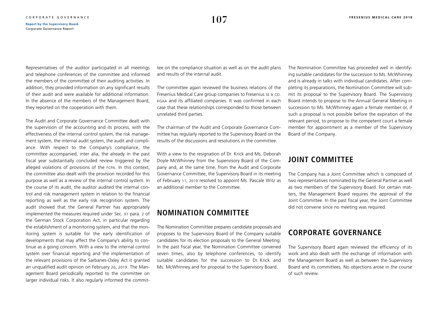Representatives of the auditor participated in all meetings and telephone conferences of the committee and informed the members of the committee of their auditing activities. In addition, they provided information on any significant results of their audit and were available for additional information. In the absence of the members of the Management Board, they reported on the cooperation with them.

The Audit and Corporate Governance Committee dealt with the supervision of the accounting and its process, with the effectiveness of the internal control system, the risk management system, the internal audit system, the audit and compliance. With respect to the Company's compliance, the committee accompanied, inter alia, the already in the past fiscal year substantially concluded review triggered by the alleged violations of provisions of the fcpa. In this context, the committee also dealt with the provision recorded for this purpose as well as a review of the internal control system. In the course of its audit, the auditor audited the internal control and risk management system in relation to the financial reporting as well as the early risk recognition system. The audit showed that the General Partner has appropriately implemented the measures required under Sec. 91 para. 2 of the German Stock Corporation Act, in particular regarding the establishment of a monitoring system, and that the monitoring system is suitable for the early identification of developments that may affect the Company's ability to continue as a going concern. With a view to the internal control system over financial reporting and the implementation of the relevant provisions of the Sarbanes-Oxley Act it granted an unqualified audit opinion on February 20, 2019. The Management Board periodically reported to the committee on larger individual risks. It also regularly informed the committee on the compliance situation as well as on the audit plans and results of the internal audit.

The committee again reviewed the business relations of the Fresenius Medical Care group companies to Fresenius se & co. kgaa and its affiliated companies. It was confirmed in each case that these relationships corresponded to those between unrelated third parties.

The chairman of the Audit and Corporate Governance Committee has regularly reported to the Supervisory Board on the results of the discussions and resolutions in the committee.

With a view to the resignation of Dr. Krick and Ms. Deborah Doyle McWhinney from the Supervisory Board of the Company and, at the same time, from the Audit and Corporate Governance Committee, the Supervisory Board in its meeting of February 11, 2019 resolved to appoint Ms. Pascale Witz as an additional member to the Committee.

# **NOMINATION COMMITTEE**

The Nomination Committee prepares candidate proposals and proposes to the Supervisory Board of the Company suitable candidates for its election proposals to the General Meeting. In the past fiscal year, the Nomination Committee convened seven times, also by telephone conferences, to identify suitable candidates for the succession to Dr. Krick and Ms. McWhinney and for proposal to the Supervisory Board.

The Nomination Committee has proceeded well in identifying suitable candidates for the succession to Ms. McWhinney and is already in talks with individual candidates. After completing its preparations, the Nomination Committee will submit its proposal to the Supervisory Board. The Supervisory Board intends to propose to the Annual General Meeting in succession to Ms. McWhinney again a female member or, if such a proposal is not possible before the expiration of the relevant period, to propose to the competent court a female member for appointment as a member of the Supervisory Board of the Company.

# **JOINT COMMITTEE**

The Company has a Joint Committee which is composed of two representatives nominated by the General Partner as well as two members of the Supervisory Board. For certain matters, the Management Board requires the approval of the Joint Committee. In the past fiscal year, the Joint Committee did not convene since no meeting was required.

# **CORPORATE GOVERNANCE**

The Supervisory Board again reviewed the efficiency of its work and also dealt with the exchange of information with the Management Board as well as between the Supervisory Board and its committees. No objections arose in the course of such review.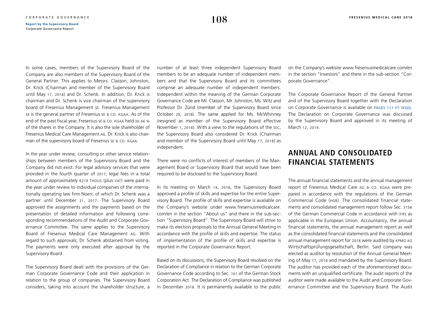In some cases, members of the Supervisory Board of the Company are also members of the Supervisory Board of the General Partner. This applies to Messrs. Classon, Johnston, Dr. Krick (Chairman and member of the Supervisory Board until May 17, 2018) and Dr. Schenk. In addition, Dr. Krick is chairman and Dr. Schenk is vice chairman of the supervisory board of Fresenius Management se. Fresenius Management se is the general partner of Fresenius se & co. kgaa. As of the end of the past fiscal year, Fresenius se & co. KGAA held 30.66 % of the shares in the Company. It is also the sole shareholder of Fresenius Medical Care Management ag. Dr. Krick is also chairman of the supervisory board of Fresenius se & co. kgaa.

In the year under review, consulting or other service relationships between members of the Supervisory Board and the Company did not exist. For legal advisory services that were provided in the fourth quarter of 2017, legal fees in a total amount of approximately  $\epsilon$ 219 Thous (plus vat) were paid in the year under review to individual companies of the internationally operating law firm Noerr, of which Dr. Schenk was a partner until December 31, 2017. The Supervisory Board approved the assignments and the payments based on the presentation of detailed information and following corresponding recommendations of the Audit and Corporate Governance Committee. The same applies to the Supervisory Board of Fresenius Medical Care Management ag. With regard to such approvals, Dr. Schenk abstained from voting. The payments were only executed after approval by the Supervisory Board.

The Supervisory Board dealt with the provisions of the German Corporate Governance Code and their application in relation to the group of companies. The Supervisory Board considers, taking into account the shareholder structure, a number of at least three independent Supervisory Board members to be an adequate number of independent members and that the Supervisory Board and its committees comprise an adequate number of independent members. Independent within the meaning of the German Corporate Governance Code are Mr. Classon, Mr. Johnston, Ms. Witz and Professor Dr. Zünd (member of the Supervisory Board since October 29, 2018). The same applied for Ms. McWhinney (resigned as member of the Supervisory Board effective November 1, 2018). With a view to the regulations of the sec, the Supervisory Board also considered Dr. Krick (Chairman and member of the Supervisory Board until May 17, 2018) as independent.

There were no conflicts of interest of members of the Management Board or Supervisory Board that would have been required to be disclosed to the Supervisory Board.

In its meeting on March 14, 2018, the Supervisory Board approved a profile of skills and expertise for the entire Supervisory Board. The profile of skills and expertise is available on the Company's website under [www.freseniusmedicalcare.](https://www.freseniusmedicalcare.com/en/about-us/supervisory-board/) [com/en](https://www.freseniusmedicalcare.com/en/about-us/supervisory-board/) in the section "About us" and there in the sub-section "Supervisory Board". The Supervisory Board will strive to make its election proposals to the Annual General Meeting in accordance with the profile of skills and expertise. The status of implementation of the profile of skills and expertise is reported in the Corporate Governance Report.

Based on its discussions, the Supervisory Board resolved on the Declaration of Compliance in relation to the German Corporate Governance Code according to Sec. 161 of the German Stock Corporation Act. The Declaration of Compliance was published in December 2018. It is permanently available to the public on the Company's website [www.freseniusmedicalcare.com/en](https://www.freseniusmedicalcare.com/en/investors/corporate-governance/declaration-of-compliance/) in the section "Investors" and there in the sub-section "Corporate Governance".

The Corporate Governance Report of the General Partner and of the Supervisory Board together with the Declaration on Corporate Governance is available on PAGES 111 ET SEQQ. The Declaration on Corporate Governance was discussed by the Supervisory Board and approved in its meeting of March 12, 2019.

# **ANNUAL AND CONSOLIDATED FINANCIAL STATEMENTS**

The annual financial statements and the annual management report of Fresenius Medical Care AG & CO. KGAA were prepared in accordance with the regulations of the German Commercial Code (hgb). The consolidated financial statements and consolidated management report follow Sec. 315e of the German Commercial Code in accordance with ifrs as applicable in the European Union. Accountancy, the annual financial statements, the annual management report as well as the consolidated financial statements and the consolidated annual management report for 2018 were audited by kpmg ag Wirtschaftsprüfungsgesellschaft, Berlin. Said company was elected as auditor by resolution of the Annual General Meeting of May 17, 2018 and mandated by the Supervisory Board. The auditor has provided each of the aforementioned documents with an unqualified certificate. The audit reports of the auditor were made available to the Audit and Corporate Governance Committee and the Supervisory Board. The Audit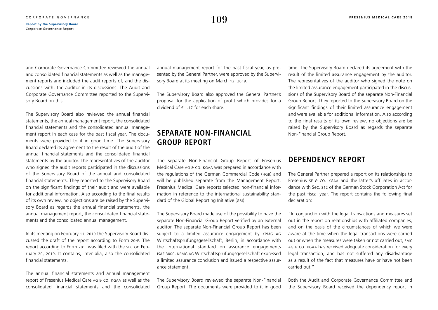and Corporate Governance Committee reviewed the annual and consolidated financial statements as well as the management reports and included the audit reports of, and the discussions with, the auditor in its discussions. The Audit and Corporate Governance Committee reported to the Supervisory Board on this.

The Supervisory Board also reviewed the annual financial statements, the annual management report, the consolidated financial statements and the consolidated annual management report in each case for the past fiscal year. The documents were provided to it in good time. The Supervisory Board declared its agreement to the result of the audit of the annual financial statements and the consolidated financial statements by the auditor. The representatives of the auditor who signed the audit reports participated in the discussions of the Supervisory Board of the annual and consolidated financial statements. They reported to the Supervisory Board on the significant findings of their audit and were available for additional information. Also according to the final results of its own review, no objections are be raised by the Supervisory Board as regards the annual financial statements, the annual management report, the consolidated financial statements and the consolidated annual management.

In its meeting on February 11, 2019 the Supervisory Board discussed the draft of the report according to Form 20-f. The report according to Form 20-f was filed with the sec on February 20, 2019. It contains, inter alia, also the consolidated financial statements.

The annual financial statements and annual management report of Fresenius Medical Care AG & CO. KGAA as well as the consolidated financial statements and the consolidated annual management report for the past fiscal year, as presented by the General Partner, were approved by the Supervisory Board at its meeting on March 12, 2019.

The Supervisory Board also approved the General Partner's proposal for the application of profit which provides for a dividend of  $\epsilon$  1.17 for each share.

# **SEPARATE NON-FINANCIAL GROUP REPORT**

The separate Non-Financial Group Report of Fresenius Medical Care ag & co. kgaa was prepared in accordance with the regulations of the German Commercial Code (hgb) and will be published separate from the Management Report. Fresenius Medical Care reports selected non-financial information in reference to the international sustainability standard of the Global Reporting Initiative (GRI).

The Supervisory Board made use of the possibility to have the separate Non-Financial Group Report verified by an external auditor. The separate Non-Financial Group Report has been subject to a limited assurance engagement by kpmg ag Wirtschaftsprüfungsgesellschaft, Berlin, in accordance with the international standard on assurance engagements isae 3000. kpmg ag Wirtschaftsprüfungsgesellschaft expressed a limited assurance conclusion and issued a respective assurance statement.

The Supervisory Board reviewed the separate Non-Financial Group Report. The documents were provided to it in good time. The Supervisory Board declared its agreement with the result of the limited assurance engagement by the auditor. The representatives of the auditor who signed the note on the limited assurance engagement participated in the discussions of the Supervisory Board of the separate Non-Financial Group Report. They reported to the Supervisory Board on the significant findings of their limited assurance engagement and were available for additional information. Also according to the final results of its own review, no objections are be raised by the Supervisory Board as regards the separate Non-Financial Group Report.

# **DEPENDENCY REPORT**

The General Partner prepared a report on its relationships to Fresenius se & co. kgaa and the latter's affiliates in accordance with Sec. 312 of the German Stock Corporation Act for the past fiscal year. The report contains the following final declaration:

"In conjunction with the legal transactions and measures set out in the report on relationships with affiliated companies, and on the basis of the circumstances of which we were aware at the time when the legal transactions were carried out or when the measures were taken or not carried out, fmc ag & co. kgaa has received adequate consideration for every legal transaction, and has not suffered any disadvantage as a result of the fact that measures have or have not been carried out."

Both the Audit and Corporate Governance Committee and the Supervisory Board received the dependency report in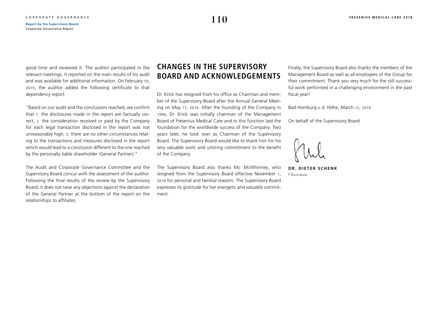good time and reviewed it. The auditor participated in the relevant meetings. It reported on the main results of his audit and was available for additional information. On February 19, 2019, the auditor added the following certificate to that dependency report:

"Based on our audit and the conclusions reached, we confirm that 1. the disclosures made in the report are factually correct, 2. the consideration received or paid by the Company for each legal transaction disclosed in the report was not unreasonably high, 3. there are no other circumstances relating to the transactions and measures disclosed in the report which would lead to a conclusion different to the one reached by the personally liable shareholder (General Partner)."

The Audit and Corporate Governance Committee and the Supervisory Board concur with the assessment of the auditor. Following the final results of the review by the Supervisory Board, it does not raise any objections against the declaration of the General Partner at the bottom of the report on the relationships to affiliates.

# **CHANGES IN THE SUPERVISORY BOARD AND ACKNOWLEDGEMENTS**

Dr. Krick has resigned from his office as Chairman and member of the Supervisory Board after the Annual General Meeting on May 17, 2018. After the founding of the Company in 1996, Dr. Krick was initially chairman of the Management Board of Fresenius Medical Care and in this function laid the foundation for the worldwide success of the Company. Two years later, he took over as Chairman of the Supervisory Board. The Supervisory Board would like to thank him for his very valuable work and untiring commitment to the benefit of the Company.

The Supervisory Board also thanks Ms. McWhinney, who resigned from the Supervisory Board effective November 1, 2018 for personal and familial reasons. The Supervisory Board expresses its gratitude for her energetic and valuable commitment.

Finally, the Supervisory Board also thanks the members of the Management Board as well as all employees of the Group for their commitment. Thank you very much for the still successful work performed in a challenging environment in the past fiscal year!

Bad Homburg v. d. Höhe, March 12, 2019

On behalf of the Supervisory Board

**DR. DIETER SCHENK** *Chairman*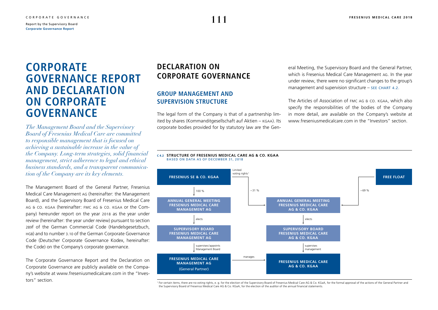# <span id="page-8-0"></span>**CORPORATE GOVERNANCE REPORT AND DECLARATION ON CORPORATE GOVERNANCE**

*The Management Board and the Supervisory Board of Fresenius Medical Care are committed to responsible management that is focused on achieving a sustainable increase in the value of the Company. Long-term strategies, solid financial management, strict adherence to legal and ethical business standards, and a transparent communication of the Company are its key elements.* 

The Management Board of the General Partner, Fresenius Medical Care Management ag (hereinafter: the Management Board), and the Supervisory Board of Fresenius Medical Care ag & co. kgaa (hereinafter: fmc ag & co. kgaa or the Company) hereunder report on the year 2018 as the year under review (hereinafter: the year under review) pursuant to section 289f of the German Commercial Code (Handelsgesetzbuch, hgb) and to number 3.10 of the German Corporate Governance Code (Deutscher Corporate Governance Kodex, hereinafter: the Code) on the Company's corporate governance.

The Corporate Governance Report and the Declaration on Corporate Governance are publicly available on the Company's website at [www.freseniusmedicalcare.com](https://www.freseniusmedicalcare.com/en/investors/corporate-governance/declaration-on-corporate-governance/) in the "Investors" section.

# **DECLARATION ON CORPORATE GOVERNANCE**

# **GROUP MANAGEMENT AND SUPERVISION STRUCTURE**

The legal form of the Company is that of a partnership limited by shares (Kommanditgesellschaft auf Aktien – kgaa). Its corporate bodies provided for by statutory law are the General Meeting, the Supervisory Board and the General Partner, which is Fresenius Medical Care Management ag. In the year under review, there were no significant changes to the group's management and supervision structure  $-$  SEE CHART 4.2.

The Articles of Association of FMC AG & CO. KGAA, which also specify the responsibilities of the bodies of the Company in more detail, are available on the Company's website at [www.freseniusmedicalcare.com](https://www.freseniusmedicalcare.com/en/investors/corporate-governance/overview-corporate-governance/) in the "Investors" section.

#### **C 4.2 STRUCTURE OF FRESENIUS MEDICAL CARE AG & CO. KGAA** BASED ON DATA AS OF DECEMBER 31, 2018



<sup>1</sup> For certain items, there are no voting rights, e. g. for the election of the Supervisory Board of Fresenius Medical Care AG & Co. KGaA, for the formal approval of the actions of the General Partner and the Supervisory Board of Fresenius Medical Care AG & Co. KGaA, for the election of the auditor of the annual financial statements.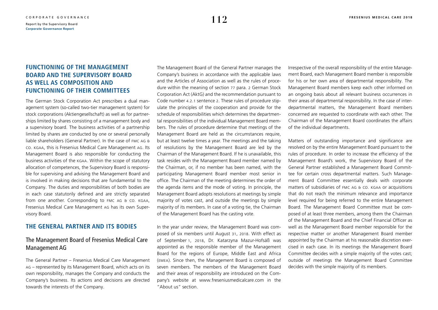# **FUNCTIONING OF THE MANAGEMENT BOARD AND THE SUPERVISORY BOARD AS WELL AS COMPOSITION AND FUNCTIONING OF THEIR COMMITTEES**

The German Stock Corporation Act prescribes a dual management system (so-called two-tier management system) for stock corporations (Aktiengesellschaft) as well as for partnerships limited by shares consisting of a management body and a supervisory board. The business activities of a partnership limited by shares are conducted by one or several personally liable shareholders (General Partner). In the case of fmc ag & co. kgaa, this is Fresenius Medical Care Management ag. Its Management Board is also responsible for conducting the business activities of the kgaa. Within the scope of statutory allocation of competences, the Supervisory Board is responsible for supervising and advising the Management Board and is involved in making decisions that are fundamental to the Company. The duties and responsibilities of both bodies are in each case statutorily defined and are strictly separated from one another. Corresponding to FMC AG & CO. KGAA, Fresenius Medical Care Management ag has its own Supervisory Board.

### **THE GENERAL PARTNER AND ITS BODIES**

### The Management Board of Fresenius Medical Care Management AG

The General Partner – Fresenius Medical Care Management ag – represented by its Management Board, which acts on its own responsibility, manages the Company and conducts the Company's business. Its actions and decisions are directed towards the interests of the Company.

The Management Board of the General Partner manages the Company's business in accordance with the applicable laws and the Articles of Association as well as the rules of procedure within the meaning of section 77 para. 2 German Stock Corporation Act (AktG) and the recommendation pursuant to Code number 4.2.1 sentence 2. These rules of procedure stipulate the principles of the cooperation and provide for the schedule of responsibilities which determines the departmental responsibilities of the individual Management Board members. The rules of procedure determine that meetings of the Management Board are held as the circumstances require, but at least twelve times a year. The meetings and the taking of resolutions by the Management Board are led by the Chairman of the Management Board. If he is unavailable, this task resides with the Management Board member named by the Chairman, or, if no member has been named, with the participating Management Board member most senior in office. The Chairman of the meeting determines the order of the agenda items and the mode of voting. In principle, the Management Board adopts resolutions at meetings by simple majority of votes cast, and outside the meetings by simple majority of its members. In case of a voting tie, the Chairman of the Management Board has the casting vote.

In the year under review, the Management Board was composed of six members until August 31, 2018. With effect as of September 1, 2018, Dr. Katarzyna Mazur-Hofsäß was appointed as the responsible member of the Management Board for the regions of Europe, Middle East and Africa (emea). Since then, the Management Board is composed of seven members. The members of the Management Board and their areas of responsibility are introduced on the Company's website at [www.freseniusmedicalcare.com](https://www.freseniusmedicalcare.com/en/about-us/management-board/) in the "About us" section.

Irrespective of the overall responsibility of the entire Management Board, each Management Board member is responsible for his or her own area of departmental responsibility. The Management Board members keep each other informed on an ongoing basis about all relevant business occurrences in their areas of departmental responsibility. In the case of interdepartmental matters, the Management Board members concerned are requested to coordinate with each other. The Chairman of the Management Board coordinates the affairs of the individual departments.

Matters of outstanding importance and significance are resolved on by the entire Management Board pursuant to the rules of procedure. In order to increase the efficiency of the Management Board's work, the Supervisory Board of the General Partner established a Management Board Committee for certain cross departmental matters. Such Management Board Committee essentially deals with corporate matters of subsidiaries of FMC AG & CO. KGAA or acquisitions that do not reach the minimum relevance and importance level required for being referred to the entire Management Board. The Management Board Committee must be composed of at least three members, among them the Chairman of the Management Board and the Chief Financial Officer as well as the Management Board member responsible for the respective matter or another Management Board member appointed by the Chairman at his reasonable discretion exercised in each case. In its meetings the Management Board Committee decides with a simple majority of the votes cast; outside of meetings the Management Board Committee decides with the simple majority of its members.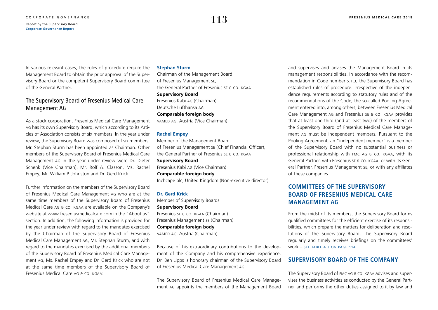In various relevant cases, the rules of procedure require the Management Board to obtain the prior approval of the Supervisory Board or the competent Supervisory Board committee of the General Partner.

# The Supervisory Board of Fresenius Medical Care Management AG

As a stock corporation, Fresenius Medical Care Management ag has its own Supervisory Board, which according to its Articles of Association consists of six members. In the year under review, the Supervisory Board was composed of six members. Mr. Stephan Sturm has been appointed as Chairman. Other members of the Supervisory Board of Fresenius Medical Care Management ag in the year under review were Dr. Dieter Schenk (Vice Chairman), Mr. Rolf A. Classon, Ms. Rachel Empey, Mr. William P. Johnston and Dr. Gerd Krick.

Further information on the members of the Supervisory Board of Fresenius Medical Care Management ag who are at the same time members of the Supervisory Board of Fresenius Medical Care ag & co. kgaa are available on the Company's website at [www.freseniusmedicalcare.com](https://www.freseniusmedicalcare.com/en/about-us/supervisory-board/) in the "About us" section. In addition, the following information is provided for the year under review with regard to the mandates exercised by the Chairman of the Supervisory Board of Fresenius Medical Care Management ag, Mr. Stephan Sturm, and with regard to the mandates exercised by the additional members of the Supervisory Board of Fresenius Medical Care Management ag, Ms. Rachel Empey and Dr. Gerd Krick who are not at the same time members of the Supervisory Board of Fresenius Medical Care ag & co. kgaa:

### **Stephan Sturm**

Chairman of the Management Board of Fresenius Management se, the General Partner of Fresenius se & co. kgaa **Supervisory Board** Fresenius Kabi ag (Chairman) Deutsche Lufthansa ag **Comparable foreign body** vamed ag, Austria (Vice Chairman)

### **Rachel Empey**

Member of the Management Board of Fresenius Management se (Chief Financial Officer), the General Partner of Fresenius se & co. kgaa **Supervisory Board** Fresenius Kabi ag (Vice Chairman) **Comparable foreign body**  Inchcape plc, United Kingdom (Non-executive director)

**Dr. Gerd Krick** Member of Supervisory Boards **Supervisory Board** Fresenius se & co. kgaa (Chairman) Fresenius Management se (Chairman) **Comparable foreign body**  vamed ag, Austria (Chairman)

Because of his extraordinary contributions to the development of the Company and his comprehensive experience, Dr. Ben Lipps is honorary chairman of the Supervisory Board of Fresenius Medical Care Management ag.

The Supervisory Board of Fresenius Medical Care Management ag appoints the members of the Management Board

and supervises and advises the Management Board in its management responsibilities. In accordance with the recommendation in Code number 5.1.3, the Supervisory Board has established rules of procedure. Irrespective of the independence requirements according to statutory rules and of the recommendations of the Code, the so-called Pooling Agreement entered into, among others, between Fresenius Medical Care Management ag and Fresenius se & co. kgaa provides that at least one third (and at least two) of the members of the Supervisory Board of Fresenius Medical Care Management ag must be independent members. Pursuant to the Pooling Agreement, an "independent member" is a member of the Supervisory Board with no substantial business or professional relationship with fmc ag & co. kgaa, with its General Partner, with Fresenius se & co. kgaa, or with its General Partner, Fresenius Management se, or with any affiliates of these companies.

# **COMMITTEES OF THE SUPERVISORY BOARD OF FRESENIUS MEDICAL CARE MANAGEMENT AG**

From the midst of its members, the Supervisory Board forms qualified committees for the efficient exercise of its responsibilities, which prepare the matters for deliberation and resolutions of the Supervisory Board. The Supervisory Board regularly and timely receives briefings on the committees' work – [see table 4.3 on page 114](#page-11-0).

### **SUPERVISORY BOARD OF THE COMPANY**

The Supervisory Board of fmc ag & co. kgaa advises and supervises the business activities as conducted by the General Partner and performs the other duties assigned to it by law and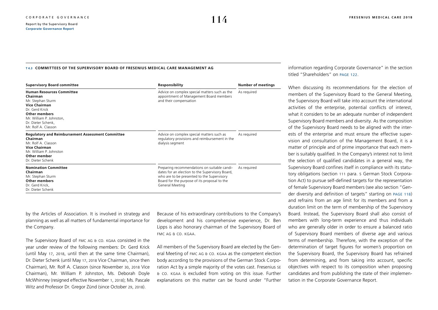#### <span id="page-11-0"></span>**T 4.3 COMMITTEES OF THE SUPERVISORY BOARD OF FRESENIUS MEDICAL CARE MANAGEMENT AG**

| <b>Supervisory Board committee</b>                                                                                                                                                                           | Responsibility                                                                                                                                                                                                   | <b>Number of meetings</b> |  |
|--------------------------------------------------------------------------------------------------------------------------------------------------------------------------------------------------------------|------------------------------------------------------------------------------------------------------------------------------------------------------------------------------------------------------------------|---------------------------|--|
| <b>Human Resources Committee</b><br>Chairman<br>Mr. Stephan Sturm<br><b>Vice Chairman</b><br>Dr. Gerd Krick<br><b>Other members</b><br>Mr. William P. Johnston,<br>Dr. Dieter Schenk.<br>Mr. Rolf A. Classon | Advice on complex special matters such as the<br>appointment of Management Board members<br>and their compensation                                                                                               | As required               |  |
| <b>Regulatory and Reimbursement Assessment Committee</b><br>Chairman<br>Mr. Rolf A. Classon<br>Vice Chairman<br>Mr. William P. Johnston<br>Other member<br>Dr. Dieter Schenk                                 | Advice on complex special matters such as<br>regulatory provisions and reimbursement in the<br>dialysis segment                                                                                                  | As required               |  |
| <b>Nomination Committee</b><br>Chairman<br>Mr. Stephan Sturm<br><b>Other members</b><br>Dr. Gerd Krick,<br>Dr. Dieter Schenk                                                                                 | Preparing recommendations on suitable candi-<br>dates for an election to the Supervisory Board,<br>who are to be presented to the Supervisory<br>Board for the purpose of its proposal to the<br>General Meeting | As required               |  |

by the Articles of Association. It is involved in strategy and planning as well as all matters of fundamental importance for the Company.

The Supervisory Board of FMC AG & CO. KGAA consisted in the year under review of the following members: Dr. Gerd Krick (until May 17, 2018, until then at the same time Chairman), Dr. Dieter Schenk (until May 17, 2018 Vice Chairman, since then Chairman), Mr. Rolf A. Classon (since November 30, 2018 Vice Chairman), Mr. William P. Johnston, Ms. Deborah Doyle McWhinney (resigned effective November 1, 2018); Ms. Pascale Witz and Professor Dr. Gregor Zünd (since October 29, 2018).

Because of his extraordinary contributions to the Company's development and his comprehensive experience, Dr. Ben Lipps is also honorary chairman of the Supervisory Board of fmc ag & co. kgaa.

All members of the Supervisory Board are elected by the General Meeting of FMC AG & CO. KGAA as the competent election body according to the provisions of the German Stock Corporation Act by a simple majority of the votes cast. Fresenius se & co. kgaa is excluded from voting on this issue. Further explanations on this matter can be found under "Further

information regarding Corporate Governance" in the section titled "Shareholders" on [page 122](#page-19-0).

When discussing its recommendations for the election of members of the Supervisory Board to the General Meeting, the Supervisory Board will take into account the international activities of the enterprise, potential conflicts of interest, what it considers to be an adequate number of independent Supervisory Board members and diversity. As the composition of the Supervisory Board needs to be aligned with the interests of the enterprise and must ensure the effective supervision and consultation of the Management Board, it is a matter of principle and of prime importance that each member is suitably qualified. In the Company's interest not to limit the selection of qualified candidates in a general way, the Supervisory Board confines itself in compliance with its statutory obligations (section 111 para. 5 German Stock Corporation Act) to pursue self-defined targets for the representation of female Supervisory Board members (see also section "Gender diversity and definition of targets" starting on [page 118](#page-15-0)) and refrains from an age limit for its members and from a duration limit on the term of membership of the Supervisory Board. Instead, the Supervisory Board shall also consist of members with long-term experience and thus individuals who are generally older in order to ensure a balanced ratio of Supervisory Board members of diverse age and various terms of membership. Therefore, with the exception of the determination of target figures for women's proportion on the Supervisory Board, the Supervisory Board has refrained from determining, and from taking into account, specific objectives with respect to its composition when proposing candidates and from publishing the state of their implementation in the Corporate Governance Report.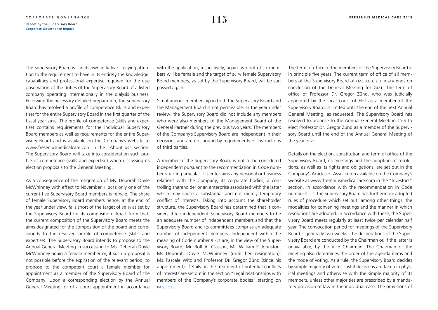The Supervisory Board is – in its own initiative – paying attention to the requirement to have in its entirety the knowledge, capabilities and professional expertise required for the due observation of the duties of the Supervisory Board of a listed company operating internationally in the dialysis business. Following the necessary detailed preparation, the Supervisory Board has resolved a profile of competence (skills and expertise) for the entire Supervisory Board in the first quarter of the fiscal year 2018. The profile of competence (skills and expertise) contains requirements for the individual Supervisory Board members as well as requirements for the entire Supervisory Board and is available on the Company's website at [www.freseniusmedicalcare.com](https://www.freseniusmedicalcare.com/en/about-us/supervisory-board/) in the "About us" section. The Supervisory Board will take into consideration such profile of competence (skills and expertise) when discussing its election proposals to the General Meeting.

As a consequence of the resignation of Ms. Deborah Doyle McWhinney with effect to November 1, 2018 only one of the current five Supervisory Board members is female. The share of female Supervisory Board members hence, at the end of the year under view, falls short of the target of 30 % as set by the Supervisory Board for its composition. Apart from that, the current composition of the Supervisory Board meets the aims designated for the composition of the board and corresponds to the resolved profile of competence (skills and expertise). The Supervisory Board intends to propose to the Annual General Meeting in succession to Ms. Deborah Doyle McWhinney again a female member or, if such a proposal is not possible before the expiration of the relevant period, to propose to the competent court a female member for appointment as a member of the Supervisory Board of the Company. Upon a corresponding election by the Annual General Meeting, or of a court appointment in accordance

with the application, respectively, again two out of six members will be female and the target of 30 % female Supervisory Board members, as set by the Supervisory Board, will be surpassed again.

Simultaneous membership in both the Supervisory Board and the Management Board is not permissible. In the year under review, the Supervisory Board did not include any members who were also members of the Management Board of the General Partner during the previous two years. The members of the Company's Supervisory Board are independent in their decisions and are not bound by requirements or instructions of third parties.

A member of the Supervisory Board is not to be considered independent pursuant to the recommendation in Code number 5.4.2 in particular if it entertains any personal or business relations with the Company, its corporate bodies, a controlling shareholder or an enterprise associated with the latter which may cause a substantial and not merely temporary conflict of interests. Taking into account the shareholder structure, the Supervisory Board has determined that it considers three independent Supervisory Board members to be an adequate number of independent members and that the Supervisory Board and its committees comprise an adequate number of independent members. Independent within the meaning of Code number 5.4.2 are, in the view of the Supervisory Board, Mr. Rolf A. Classon, Mr. William P. Johnston, Ms. Deborah Doyle McWhinney (until her resignation), Ms. Pascale Witz and Professor Dr. Gregor Zünd (since his appointment). Details on the treatment of potential conflicts of interests are set out in the section "Legal relationships with members of the Company's corporate bodies" starting on [page 123](#page-20-0).

The term of office of the members of the Supervisory Board is in principle five years. The current term of office of all members of the Supervisory Board of FMC AG & CO. KGAA ends on conclusion of the General Meeting for 2021. The term of office of Professor Dr. Gregor Zünd, who was judicially appointed by the local court of Hof as a member of the Supervisory Board, is limited until the end of the next Annual General Meeting, as requested. The Supervisory Board has resolved to propose to the Annual General Meeting 2019 to elect Professor Dr. Gregor Zünd as a member of the Supervisory Board until the end of the Annual General Meeting of the year 2021.

Details on the election, constitution and term of office of the Supervisory Board, its meetings and the adoption of resolutions, as well as its rights and obligations, are set out in the Company's Articles of Association available on the Company's website at [www.freseniusmedicalcare.com](https://www.freseniusmedicalcare.com/en/investors/corporate-governance/overview-corporate-governance/) in the "Investors" section. In accordance with the recommendation in Code number 5.1.3, the Supervisory Board has furthermore adopted rules of procedure which set out, among other things, the modalities for convening meetings and the manner in which resolutions are adopted. In accordance with these, the Supervisory Board meets regularly at least twice per calendar half year. The convocation period for meetings of the Supervisory Board is generally two weeks. The deliberations of the Supervisory Board are conducted by the Chairman or, if the latter is unavailable, by the Vice Chairman. The Chairman of the meeting also determines the order of the agenda items and the mode of voting. As a rule, the Supervisory Board decides by simple majority of votes cast if decisions are taken in physical meetings and otherwise with the simple majority of its members, unless other majorities are prescribed by a mandatory provision of law in the individual case. The provisions of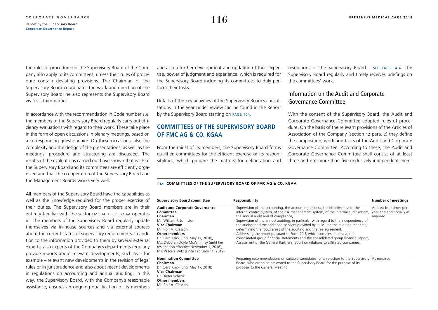the rules of procedure for the Supervisory Board of the Company also apply to its committees, unless their rules of procedure contain deviating provisions. The Chairman of the Supervisory Board coordinates the work and direction of the Supervisory Board; he also represents the Supervisory Board vis-à-vis third parties.

In accordance with the recommendation in Code number 5.6, the members of the Supervisory Board regularly carry out efficiency evaluations with regard to their work. These take place in the form of open discussions in plenary meetings, based on a corresponding questionnaire. On these occasions, also the complexity and the design of the presentations, as well as the meetings' procedure and structuring are discussed. The results of the evaluations carried out have shown that each of the Supervisory Board and its committees are efficiently organized and that the co-operation of the Supervisory Board and the Management Boards works very well.

All members of the Supervisory Board have the capabilities as well as the knowledge required for the proper exercise of their duties. The Supervisory Board members are in their entirety familiar with the sector FMC AG & CO. KGAA operates in. The members of the Supervisory Board regularly update themselves via in-house sources and via external sources about the current status of supervisory requirements. In addition to the information provided to them by several external experts, also experts of the Company's departments regularly provide reports about relevant developments, such as – for example – relevant new developments in the revision of legal rules or in jurisprudence and also about recent developments in regulations on accounting and annual auditing. In this way, the Supervisory Board, with the Company's reasonable assistance, ensures an ongoing qualification of its members and also a further development and updating of their expertise, power of judgment and experience, which is required for the Supervisory Board including its committees to duly perform their tasks.

Details of the key activities of the Supervisory Board's consultations in the year under review can be found in the Report by the Supervisory Board starting on [page 104](#page-1-0).

# **COMMITTEES OF THE SUPERVISORY BOARD OF FMC AG & CO. KGAA**

From the midst of its members, the Supervisory Board forms qualified committees for the efficient exercise of its responsibilities, which prepare the matters for deliberation and

resolutions of the Supervisory Board – see table 4.4. The Supervisory Board regularly and timely receives briefings on the committees' work.

### Information on the Audit and Corporate Governance Committee

With the consent of the Supervisory Board, the Audit and Corporate Governance Committee adopted rules of procedure. On the basis of the relevant provisions of the Articles of Association of the Company (section 12 para. 2) they define the composition, work and tasks of the Audit and Corporate Governance Committee. According to these, the Audit and Corporate Governance Committee shall consist of at least three and not more than five exclusively independent mem-

#### **T 4.4 COMMITTEES OF THE SUPERVISORY BOARD OF FMC AG & CO. KGAA**

| <b>Supervisory Board committee</b>                                                                                                                                                                                                                                                                                                           | Responsibility                                                                                                                                                                                                                                                                                                                                                                                                                                                                                                                                                                                                                                                                                                                       | <b>Number of meetings</b>                                       |  |
|----------------------------------------------------------------------------------------------------------------------------------------------------------------------------------------------------------------------------------------------------------------------------------------------------------------------------------------------|--------------------------------------------------------------------------------------------------------------------------------------------------------------------------------------------------------------------------------------------------------------------------------------------------------------------------------------------------------------------------------------------------------------------------------------------------------------------------------------------------------------------------------------------------------------------------------------------------------------------------------------------------------------------------------------------------------------------------------------|-----------------------------------------------------------------|--|
| <b>Audit and Corporate Governance</b><br>Committee<br>Chairman<br>Mr. William P. Johnston<br><b>Vice Chairman</b><br>Mr. Rolf A. Classon<br><b>Other members</b><br>Dr. Gerd Krick (until May 17, 2018),<br>Ms. Deborah Doyle McWhinney (until her<br>resignation effective November 1, 2018),<br>Ms. Pascale Witz (since February 11, 2019) | Supervision of the accounting, the accounting process, the effectiveness of the<br>internal control system, of the risk management system, of the internal audit system,<br>the annual audit and of compliance,<br>Supervision of the annual auditing, in particular with regard to the independence of<br>the auditor and the additional services provided by it, issuing the auditing mandate,<br>determining the focus areas of the auditing and the fee agreement,<br>Addressing the report pursuant to Form 20-F, which contains, inter alia, the<br>consolidated group financial statements and the consolidated group financial report,<br>> Assessment of the General Partner's report on relations to affiliated companies. | At least four times per<br>year and additionally as<br>required |  |
| <b>Nomination Committee</b><br>Chairman<br>Dr. Gerd Krick (until May 17, 2018)<br><b>Vice Chairman</b><br>Dr. Dieter Schenk<br><b>Other members</b><br>Mr. Rolf A. Classon                                                                                                                                                                   | $\rightarrow$ Preparing recommendations on suitable candidates for an election to the Supervisory As required<br>Board, who are to be presented to the Supervisory Board for the purpose of its<br>proposal to the General Meeting                                                                                                                                                                                                                                                                                                                                                                                                                                                                                                   |                                                                 |  |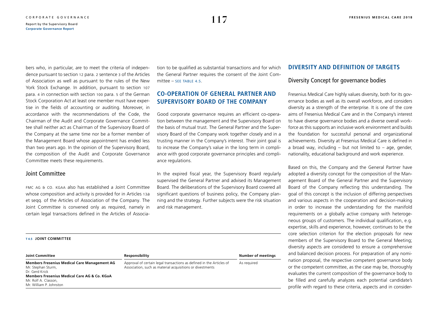bers who, in particular, are to meet the criteria of independence pursuant to section 12 para. 2 sentence 3 of the Articles of Association as well as pursuant to the rules of the New York Stock Exchange. In addition, pursuant to section 107 para. 4 in connection with section 100 para. 5 of the German Stock Corporation Act at least one member must have expertise in the fields of accounting or auditing. Moreover, in accordance with the recommendations of the Code, the Chairman of the Audit and Corporate Governance Committee shall neither act as Chairman of the Supervisory Board of the Company at the same time nor be a former member of the Management Board whose appointment has ended less than two years ago. In the opinion of the Supervisory Board, the composition of the Audit and Corporate Governance Committee meets these requirements.

### Joint Committee

fmc ag & co. kgaa also has established a Joint Committee whose composition and activity is provided for in Articles 13a et seqq. of the Articles of Association of the Company. The Joint Committee is convened only as required, namely in certain legal transactions defined in the Articles of Associa-

#### **T 4.5 JOINT COMMITTEE**

Mr. Rolf A. Classon, Mr. William P. Johnston tion to be qualified as substantial transactions and for which the General Partner requires the consent of the Joint Committee – see TABLE  $4.5$ .

### **CO-OPERATION OF GENERAL PARTNER AND SUPERVISORY BOARD OF THE COMPANY**

Good corporate governance requires an efficient co-operation between the management and the Supervisory Board on the basis of mutual trust. The General Partner and the Supervisory Board of the Company work together closely and in a trusting manner in the Company's interest. Their joint goal is to increase the Company's value in the long term in compliance with good corporate governance principles and compliance regulations.

In the expired fiscal year, the Supervisory Board regularly supervised the General Partner and advised its Management Board. The deliberations of the Supervisory Board covered all significant questions of business policy, the Company planning and the strategy. Further subjects were the risk situation and risk management.

### **Joint Committee Responsibility Responsibility Responsibility Responsibility Responsibility Responsibility Responsibility Responsibility Responsibility Responsibility Responsibility Responsibility Members Fresenius Medical Care Management AG** Mr. Stephan Sturm, Dr. Gerd Krick **Members Fresenius Medical Care AG & Co. KGaA**  Approval of certain legal transactions as defined in the Articles of Association, such as material acquisitions or divestments As required

### **DIVERSITY AND DEFINITION OF TARGETS**

### Diversity Concept for governance bodies

Fresenius Medical Care highly values diversity, both for its governance bodies as well as its overall workforce, and considers diversity as a strength of the enterprise. It is one of the core aims of Fresenius Medical Care and in the Company's interest to have diverse governance bodies and a diverse overall workforce as this supports an inclusive work environment and builds the foundation for successful personal and organizational achievements. Diversity at Fresenius Medical Care is defined in a broad way, including  $-$  but not limited to  $-$  age, gender, nationality, educational background and work experience.

Based on this, the Company and the General Partner have adopted a diversity concept for the composition of the Management Board of the General Partner and the Supervisory Board of the Company reflecting this understanding. The goal of this concept is the inclusion of differing perspectives and various aspects in the cooperation and decision-making in order to increase the understanding for the manifold requirements on a globally active company with heterogeneous groups of customers. The individual qualification, e.g. expertise, skills and experience, however, continues to be the core selection criterion for the election proposals for new members of the Supervisory Board to the General Meeting; diversity aspects are considered to ensure a comprehensive and balanced decision process. For preparation of any nomination proposal, the respective competent governance body or the competent committee, as the case may be, thoroughly evaluates the current composition of the governance body to be filled and carefully analyzes each potential candidate's profile with regard to these criteria, aspects and in consider-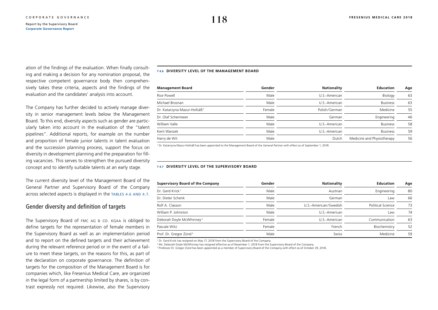<span id="page-15-0"></span>ation of the findings of the evaluation. When finally consulting and making a decision for any nomination proposal, the respective competent governance body then comprehensively takes these criteria, aspects and the findings of the evaluation and the candidates' analysis into account.

The Company has further decided to actively manage diversity in senior management levels below the Management Board. To this end, diversity aspects such as gender are particularly taken into account in the evaluation of the "talent pipelines". Additional reports, for example on the number and proportion of female junior talents in talent evaluation and the succession planning process, support the focus on diversity in development planning and the preparation for filling vacancies. This serves to strengthen the pursued diversity concept and to identify suitable talents at an early stage.

The current diversity level of the Management Board of the General Partner and Supervisory Board of the Company across selected aspects is displayed in the tables 4.6 and 4.7.

### Gender diversity and definition of targets

The Supervisory Board of FMC AG & CO. KGAA is obliged to define targets for the representation of female members in the Supervisory Board as well as an implementation period and to report on the defined targets and their achievement during the relevant reference period or in the event of a failure to meet these targets, on the reasons for this, as part of the declaration on corporate governance. The definition of targets for the composition of the Management Board is for companies which, like Fresenius Medical Care, are organized in the legal form of a partnership limited by shares, is by contrast expressly not required. Likewise, also the Supervisory

#### **T 4.6 DIVERSITY LEVEL OF THE MANAGEMENT BOARD**

| <b>Management Board</b>                 | Gender | Nationality   | <b>Education</b>           | Age |
|-----------------------------------------|--------|---------------|----------------------------|-----|
| Rice Powell                             | Male   | U.S.-American | Biology                    | 63  |
| Michael Brosnan                         | Male   | U.S.-American | <b>Business</b>            | 63  |
| Dr. Katarzyna Mazur-Hofsäß <sup>1</sup> | Female | Polish/German | Medicine                   | 55  |
| Dr. Olaf Schermeier                     | Male   | German        | Engineering                | 46  |
| William Valle                           | Male   | U.S.-American | <b>Business</b>            | 58  |
| Kent Wanzek                             | Male   | U.S.-American | <b>Business</b>            | 59  |
| Harry de Wit                            | Male   | Dutch         | Medicine and Physiotherapy | 56  |

1 Dr. Katarzyna Mazur-Hofsäß has been appointed to the Management Board of the General Partner with effect as of September 1, 2018.

#### **T 4.7 DIVERSITY LEVEL OF THE SUPERVISORY BOARD**

| Supervisory Board of the Company     | Gender | <b>Nationality</b>    | <b>Education</b>  | Age |
|--------------------------------------|--------|-----------------------|-------------------|-----|
| Dr. Gerd Krick <sup>1</sup>          | Male   | Austrian              | Engineering       | 80  |
| Dr. Dieter Schenk                    | Male   | German                | Law               | 66  |
| Rolf A. Classon                      | Male   | U.S.-American/Swedish | Political Science | 73  |
| William P. Johnston                  | Male   | U.S.-American         | Law               | 74  |
| Deborah Doyle McWhinney <sup>2</sup> | Female | U.S.-American         | Communication     | 63  |
| Pascale Witz                         | Female | French                | Biochemistry      | 52  |
| Prof. Dr. Gregor Zünd <sup>3</sup>   | Male   | Swiss                 | Medicine          | 59  |

1 Dr. Gerd Krick has resigned on May 17, 2018 from the Supervisory Board of the Company.

2 Ms. Deborah Doyle McWhinney has resigned effective as of November 1, 2018 from the Supervisory Board of the Company.

<sup>3</sup> Professor Dr. Gregor Zünd has been appointed as a member of Supervisory Board of the Company with effect as of October 29, 2018.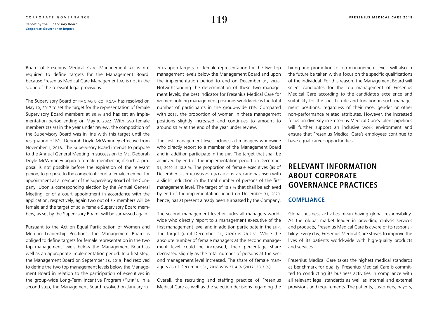Board of Fresenius Medical Care Management ag is not required to define targets for the Management Board, because Fresenius Medical Care Management ag is not in the scope of the relevant legal provisions.

The Supervisory Board of FMC AG & CO. KGAA has resolved on May 10, 2017 to set the target for the representation of female Supervisory Board members at 30 % and has set an implementation period ending on May 9, 2022. With two female members (33 %) in the year under review, the composition of the Supervisory Board was in line with this target until the resignation of Ms. Deborah Doyle McWhinney effective from November 1, 2018. The Supervisory Board intends to propose to the Annual General Meeting in succession to Ms. Deborah Doyle McWhinney again a female member or, if such a proposal is not possible before the expiration of the relevant period, to propose to the competent court a female member for appointment as a member of the Supervisory Board of the Company. Upon a corresponding election by the Annual General Meeting, or of a court appointment in accordance with the application, respectively, again two out of six members will be female and the target of 30 % female Supervisory Board members, as set by the Supervisory Board, will be surpassed again.

Pursuant to the Act on Equal Participation of Women and Men in Leadership Positions, the Management Board is obliged to define targets for female representation in the two top management levels below the Management Board as well as an appropriate implementation period. In a first step, the Management Board on September 28, 2015, had resolved to define the two top management levels below the Management Board in relation to the participation of executives in the group-wide Long-Term Incentive Program ("ltip"). In a second step, the Management Board resolved on January 13,

2016 upon targets for female representation for the two top management levels below the Management Board and upon the implementation period to end on December 31, 2020. Notwithstanding the determination of these two management levels, the best indicator for Fresenius Medical Care for women holding management positions worldwide is the total number of participants in the group-wide LTIP. Compared with 2017, the proportion of women in these management positions slightly increased and continues to amount to around 33 % at the end of the year under review.

The first management level includes all managers worldwide who directly report to a member of the Management Board and in addition participate in the LTIP. The target that shall be achieved by end of the implementation period on December 31, 2020 is 18.8 %. The proportion of female executives (as of December 31, 2018) was 21.1 % (2017: 19.2 %) and has risen with a slight reduction in the total number of persons of the first management level. The target of 18.8 % that shall be achieved by end of the implementation period on December 31, 2020, hence, has at present already been surpassed by the Company.

The second management level includes all managers worldwide who directly report to a management executive of the first management level and in addition participate in the LTIP. The target (until December 31, 2020) is 28.2 %. While the absolute number of female managers at the second management level could be increased, their percentage share decreased slightly as the total number of persons at the second management level increased. The share of female managers as of December 31, 2018 was 27.4 % (2017: 28.3 %).

Overall, the recruiting and staffing practice of Fresenius Medical Care as well as the selection decisions regarding the

hiring and promotion to top management levels will also in the future be taken with a focus on the specific qualifications of the individual. For this reason, the Management Board will select candidates for the top management of Fresenius Medical Care according to the candidate's excellence and suitability for the specific role and function in such management positions, regardless of their race, gender or other non-performance related attributes. However, the increased focus on diversity in Fresenius Medical Care's talent pipelines will further support an inclusive work environment and ensure that Fresenius Medical Care's employees continue to have equal career opportunities.

# **RELEVANT INFORMATION ABOUT CORPORATE GOVERNANCE PRACTICES**

### **COMPLIANCE**

Global business activities mean having global responsibility. As the global market leader in providing dialysis services and products, Fresenius Medical Care is aware of its responsibility. Every day, Fresenius Medical Care strives to improve the lives of its patients world-wide with high-quality products and services.

Fresenius Medical Care takes the highest medical standards as benchmark for quality. Fresenius Medical Care is committed to conducting its business activities in compliance with all relevant legal standards as well as internal and external provisions and requirements. The patients, customers, payors,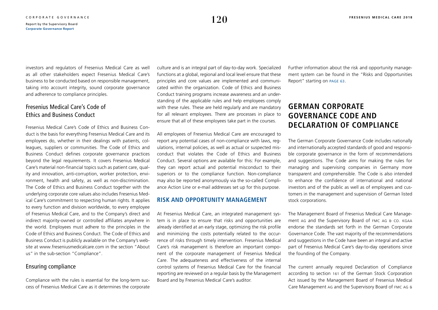investors and regulators of Fresenius Medical Care as well as all other stakeholders expect Fresenius Medical Care's business to be conducted based on responsible management, taking into account integrity, sound corporate governance

### Fresenius Medical Care's Code of Ethics and Business Conduct

and adherence to compliance principles.

Fresenius Medical Care's Code of Ethics and Business Conduct is the basis for everything Fresenius Medical Care and its employees do, whether in their dealings with patients, colleagues, suppliers or communities. The Code of Ethics and Business Conduct defines corporate governance practices beyond the legal requirements. It covers Fresenius Medical Care's material non-financial topics such as patient care, quality and innovation, anti-corruption, worker protection, environment, health and safety, as well as non-discrimination. The Code of Ethics and Business Conduct together with the underlying corporate core values also includes Fresenius Medical Care's commitment to respecting human rights. It applies to every function and division worldwide, to every employee of Fresenius Medical Care, and to the Company's direct and indirect majority-owned or controlled affiliates anywhere in the world. Employees must adhere to the principles in the Code of Ethics and Business Conduct. The Code of Ethics and Business Conduct is publicly available on the Company's website at [www.freseniusmedicalcare.com](https://www.freseniusmedicalcare.com/en/about-us/compliance/) in the section "About us" in the sub-section "Compliance".

### Ensuring compliance

Compliance with the rules is essential for the long-term success of Fresenius Medical Care as it determines the corporate culture and is an integral part of day-to-day work. Specialized functions at a global, regional and local level ensure that these principles and core values are implemented and communicated within the organization. Code of Ethics and Business Conduct training programs increase awareness and an understanding of the applicable rules and help employees comply with these rules. These are held regularly and are mandatory for all relevant employees. There are processes in place to ensure that all of these employees take part in the courses.

All employees of Fresenius Medical Care are encouraged to report any potential cases of non-compliance with laws, regulations, internal policies, as well as actual or suspected misconduct that violates the Code of Ethics and Business Conduct. Several options are available for this: For example, they can report actual and potential misconduct to their superiors or to the compliance function. Non-compliance may also be reported anonymously via the so-called Compliance Action Line or e-mail addresses set up for this purpose.

### **RISK AND OPPORTUNITY MANAGEMENT**

At Fresenius Medical Care, an integrated management system is in place to ensure that risks and opportunities are already identified at an early stage, optimizing the risk profile and minimizing the costs potentially related to the occurrence of risks through timely intervention. Fresenius Medical Care's risk management is therefore an important component of the corporate management of Fresenius Medical Care. The adequateness and effectiveness of the internal control systems of Fresenius Medical Care for the financial reporting are reviewed on a regular basis by the Management Board and by Fresenius Medical Care's auditor.

Further information about the risk and opportunity management system can be found in the "Risks and Opportunities Report" starting on [page 63](#page--1-0).

# **GERMAN CORPORATE GOVERNANCE CODE AND DECLARATION OF COMPLIANCE**

The German Corporate Governance Code includes nationally and internationally accepted standards of good and responsible corporate governance in the form of recommendations and suggestions. The Code aims for making the rules for managing and supervising companies in Germany more transparent and comprehensible. The Code is also intended to enhance the confidence of international and national investors and of the public as well as of employees and customers in the management and supervision of German listed stock corporations.

The Management Board of Fresenius Medical Care Management AG and the Supervisory Board of FMC AG & CO. KGAA endorse the standards set forth in the German Corporate Governance Code. The vast majority of the recommendations and suggestions in the Code have been an integral and active part of Fresenius Medical Care's day-to-day operations since the founding of the Company.

The current annually required Declaration of Compliance according to section 161 of the German Stock Corporation Act issued by the Management Board of Fresenius Medical Care Management ag and the Supervisory Board of fmc ag &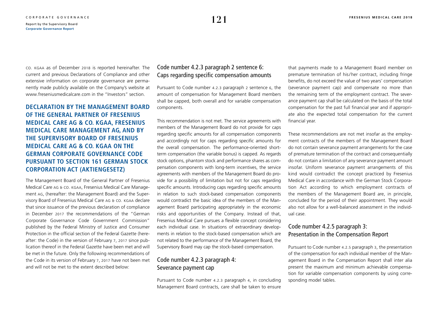co. kgaa as of December 2018 is reported hereinafter. The current and previous Declarations of Compliance and other extensive information on corporate governance are permanently made publicly available on the Company's website at [www.freseniusmedicalcare.com](https://www.freseniusmedicalcare.com/en/investors/corporate-governance/declaration-of-compliance/) in the "Investors" section.

**DECLARATION BY THE MANAGEMENT BOARD OF THE GENERAL PARTNER OF FRESENIUS MEDICAL CARE AG & CO. KGAA, FRESENIUS MEDICAL CARE MANAGEMENT AG, AND BY THE SUPERVISORY BOARD OF FRESENIUS MEDICAL CARE AG & CO. KGAA ON THE GERMAN CORPORATE GOVERNANCE CODE PURSUANT TO SECTION 161 GERMAN STOCK CORPORATION ACT (AKTIENGESETZ)**

The Management Board of the General Partner of Fresenius Medical Care ag & co. kgaa, Fresenius Medical Care Management ag, (hereafter: the Management Board) and the Supervisory Board of Fresenius Medical Care AG & CO. KGAA declare that since issuance of the previous declaration of compliance in December 2017 the recommendations of the "German Corporate Governance Code Government Commission" published by the Federal Ministry of Justice and Consumer Protection in the official section of the Federal Gazette (hereafter: the Code) in the version of February 7, 2017 since publication thereof in the Federal Gazette have been met and will be met in the future. Only the following recommendations of the Code in its version of February 7, 2017 have not been met and will not be met to the extent described below:

### Code number 4.2.3 paragraph 2 sentence 6: Caps regarding specific compensation amounts

Pursuant to Code number 4.2.3 paragraph 2 sentence 6, the amount of compensation for Management Board members shall be capped, both overall and for variable compensation components.

This recommendation is not met. The service agreements with members of the Management Board do not provide for caps regarding specific amounts for all compensation components and accordingly not for caps regarding specific amounts for the overall compensation. The performance-oriented shortterm compensation (the variable bonus) is capped. As regards stock options, phantom stock and performance shares as compensation components with long-term incentives, the service agreements with members of the Management Board do provide for a possibility of limitation but not for caps regarding specific amounts. Introducing caps regarding specific amounts in relation to such stock-based compensation components would contradict the basic idea of the members of the Management Board participating appropriately in the economic risks and opportunities of the Company. Instead of that, Fresenius Medical Care pursues a flexible concept considering each individual case. In situations of extraordinary developments in relation to the stock-based compensation which are not related to the performance of the Management Board, the Supervisory Board may cap the stock-based compensation.

### Code number 4.2.3 paragraph 4: Severance payment cap

Pursuant to Code number 4.2.3 paragraph 4, in concluding Management Board contracts, care shall be taken to ensure

that payments made to a Management Board member on premature termination of his/ her contract, including fringe benefits, do not exceed the value of two years' compensation (severance payment cap) and compensate no more than the remaining term of the employment contract. The severance payment cap shall be calculated on the basis of the total compensation for the past full financial year and if appropriate also the expected total compensation for the current financial year.

These recommendations are not met insofar as the employment contracts of the members of the Management Board do not contain severance payment arrangements for the case of premature termination of the contract and consequentially do not contain a limitation of any severance payment amount insofar. Uniform severance payment arrangements of this kind would contradict the concept practiced by Fresenius Medical Care in accordance with the German Stock Corporation Act according to which employment contracts of the members of the Management Board are, in principle, concluded for the period of their appointment. They would also not allow for a well-balanced assessment in the individual case.

# Code number 4.2.5 paragraph 3: Presentation in the Compensation Report

Pursuant to Code number 4.2.5 paragraph 3, the presentation of the compensation for each individual member of the Management Board in the Compensation Report shall inter alia present the maximum and minimum achievable compensation for variable compensation components by using corresponding model tables.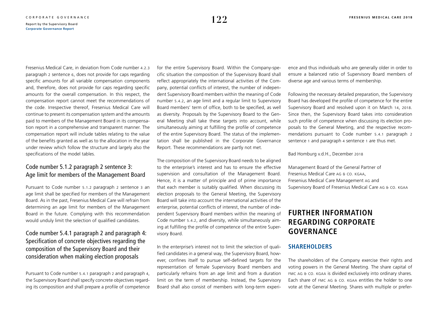<span id="page-19-0"></span>Fresenius Medical Care, in deviation from Code number 4.2.3 paragraph 2 sentence 6, does not provide for caps regarding specific amounts for all variable compensation components and, therefore, does not provide for caps regarding specific amounts for the overall compensation. In this respect, the compensation report cannot meet the recommendations of the code. Irrespective thereof, Fresenius Medical Care will continue to present its compensation system and the amounts paid to members of the Management Board in its compensation report in a comprehensive and transparent manner. The compensation report will include tables relating to the value of the benefits granted as well as to the allocation in the year under review which follow the structure and largely also the specifications of the model tables.

### Code number 5.1.2 paragraph 2 sentence 3: Age limit for members of the Management Board

Pursuant to Code number 5.1.2 paragraph 2 sentence 3 an age limit shall be specified for members of the Management Board. As in the past, Fresenius Medical Care will refrain from determining an age limit for members of the Management Board in the future. Complying with this recommendation would unduly limit the selection of qualified candidates.

# Code number 5.4.1 paragraph 2 and paragraph 4: Specification of concrete objectives regarding the composition of the Supervisory Board and their consideration when making election proposals

Pursuant to Code number 5.4.1 paragraph 2 and paragraph 4, the Supervisory Board shall specify concrete objectives regarding its composition and shall prepare a profile of competence for the entire Supervisory Board. Within the Company-specific situation the composition of the Supervisory Board shall reflect appropriately the international activities of the Company, potential conflicts of interest, the number of independent Supervisory Board members within the meaning of Code number 5.4.2, an age limit and a regular limit to Supervisory Board members' term of office, both to be specified, as well as diversity. Proposals by the Supervisory Board to the General Meeting shall take these targets into account, while simultaneously aiming at fulfilling the profile of competence of the entire Supervisory Board. The status of the implementation shall be published in the Corporate Governance Report. These recommendations are partly not met.

The composition of the Supervisory Board needs to be aligned to the enterprise's interest and has to ensure the effective supervision and consultation of the Management Board. Hence, it is a matter of principle and of prime importance that each member is suitably qualified. When discussing its election proposals to the General Meeting, the Supervisory Board will take into account the international activities of the enterprise, potential conflicts of interest, the number of independent Supervisory Board members within the meaning of Code number 5.4.2, and diversity, while simultaneously aiming at fulfilling the profile of competence of the entire Supervisory Board.

In the enterprise's interest not to limit the selection of qualified candidates in a general way, the Supervisory Board, however, confines itself to pursue self-defined targets for the representation of female Supervisory Board members and particularly refrains from an age limit and from a duration limit on the term of membership. Instead, the Supervisory Board shall also consist of members with long-term experience and thus individuals who are generally older in order to ensure a balanced ratio of Supervisory Board members of diverse age and various terms of membership.

Following the necessary detailed preparation, the Supervisory Board has developed the profile of competence for the entire Supervisory Board and resolved upon it on March 14, 2018. Since then, the Supervisory Board takes into consideration such profile of competence when discussing its election proposals to the General Meeting, and the respective recommendations pursuant to Code number 5.4.1 paragraph 2 sentence 1 and paragraph 4 sentence 1 are thus met.

Bad Homburg v.d.H., December 2018

Management Board of the General Partner of Fresenius Medical Care AG & CO. KGAA, Fresenius Medical Care Management ag and Supervisory Board of Fresenius Medical Care AG & CO. KGAA

# **FURTHER INFORMATION REGARDING CORPORATE GOVERNANCE**

### **SHAREHOLDERS**

The shareholders of the Company exercise their rights and voting powers in the General Meeting. The share capital of FMC AG & CO. KGAA is divided exclusively into ordinary shares. Each share of fmc ag & co. kgaa entitles the holder to one vote at the General Meeting. Shares with multiple or prefer-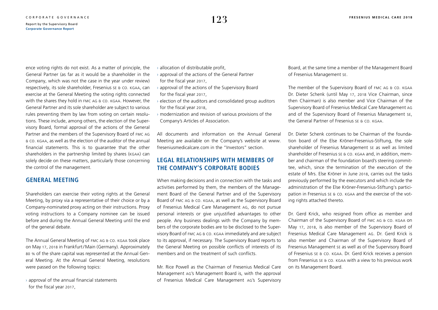<span id="page-20-0"></span>ence voting rights do not exist. As a matter of principle, the General Partner (as far as it would be a shareholder in the Company, which was not the case in the year under review) respectively, its sole shareholder, Fresenius se & co. kgaa, can exercise at the General Meeting the voting rights connected with the shares they hold in FMC AG & CO. KGAA. However, the General Partner and its sole shareholder are subject to various rules preventing them by law from voting on certain resolutions. These include, among others, the election of the Supervisory Board, formal approval of the actions of the General Partner and the members of the Supervisory Board of fmc ag & co. kgaa, as well as the election of the auditor of the annual financial statements. This is to guarantee that the other shareholders in the partnership limited by shares (kgaa) can solely decide on these matters, particularly those concerning the control of the management.

### **GENERAL MEETING**

Shareholders can exercise their voting rights at the General Meeting, by proxy via a representative of their choice or by a Company-nominated proxy acting on their instructions. Proxy voting instructions to a Company nominee can be issued before and during the Annual General Meeting until the end of the general debate.

The Annual General Meeting of fmc ag & co. kgaa took place on May 17, 2018 in Frankfurt/Main (Germany). Approximately 80 % of the share capital was represented at the Annual General Meeting. At the Annual General Meeting, resolutions were passed on the following topics:

 $\rightarrow$  approval of the annual financial statements for the fiscal year 2017,

 $\rightarrow$  allocation of distributable profit,

- $\rightarrow$  approval of the actions of the General Partner for the fiscal year 2017,
- $\rightarrow$  approval of the actions of the Supervisory Board for the fiscal year 2017,
- $\rightarrow$  election of the auditors and consolidated group auditors for the fiscal year 2018,
- $\rightarrow$  modernization and revision of various provisions of the Company's Articles of Association.

All documents and information on the Annual General Meeting are available on the Company's website at [www.](https://www.freseniusmedicalcare.com/en/agm/) [freseniusmedicalcare.com](https://www.freseniusmedicalcare.com/en/agm/) in the "Investors" section.

### **LEGAL RELATIONSHIPS WITH MEMBERS OF THE COMPANY'S CORPORATE BODIES**

When making decisions and in connection with the tasks and activities performed by them, the members of the Management Board of the General Partner and of the Supervisory Board of fmc ag & co. kgaa, as well as the Supervisory Board of Fresenius Medical Care Management ag, do not pursue personal interests or give unjustified advantages to other people. Any business dealings with the Company by members of the corporate bodies are to be disclosed to the Supervisory Board of fmc ag & co. kgaa immediately and are subject to its approval, if necessary. The Supervisory Board reports to the General Meeting on possible conflicts of interests of its members and on the treatment of such conflicts.

Mr. Rice Powell as the Chairman of Fresenius Medical Care Management ag's Management Board is, with the approval of Fresenius Medical Care Management ag's Supervisory

Board, at the same time a member of the Management Board of Fresenius Management se.

The member of the Supervisory Board of FMC AG & CO. KGAA Dr. Dieter Schenk (until May 17, 2018 Vice Chairman, since then Chairman) is also member and Vice Chairman of the Supervisory Board of Fresenius Medical Care Management ag and of the Supervisory Board of Fresenius Management se, the General Partner of Fresenius se & co. kgaa.

Dr. Dieter Schenk continues to be Chairman of the foundation board of the Else Kröner-Fresenius-Stiftung, the sole shareholder of Fresenius Management se as well as limited shareholder of Fresenius se & co. kgaa and, in addition, member and chairman of the foundation board's steering committee, which, since the termination of the execution of the estate of Mrs. Else Kröner in June 2018, carries out the tasks previously performed by the executors and which include the administration of the Else Kröner-Fresenius-Stiftung's participation in Fresenius se & CO. KGAA and the exercise of the voting rights attached thereto.

Dr. Gerd Krick, who resigned from office as member and Chairman of the Supervisory Board of fmc ag & co. kgaa on May 17, 2018, is also member of the Supervisory Board of Fresenius Medical Care Management ag. Dr. Gerd Krick is also member and Chairman of the Supervisory Board of Fresenius Management se as well as of the Supervisory Board of Fresenius se & co. kgaa. Dr. Gerd Krick receives a pension from Fresenius se & co. kgaa with a view to his previous work on its Management Board.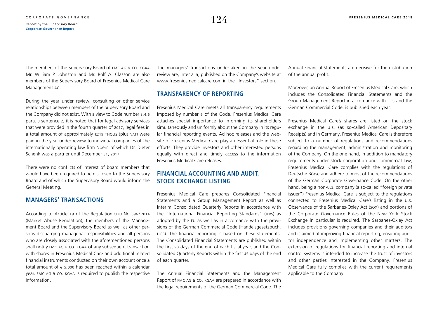The members of the Supervisory Board of FMC AG & CO. KGAA Mr. William P. Johnston and Mr. Rolf A. Classon are also members of the Supervisory Board of Fresenius Medical Care Management ag.

During the year under review, consulting or other service relationships between members of the Supervisory Board and the Company did not exist. With a view to Code number 5.4.6 para. 3 sentence 2, it is noted that for legal advisory services that were provided in the fourth quarter of 2017, legal fees in a total amount of approximately €219 thous (plus vat) were paid in the year under review to individual companies of the internationally operating law firm Noerr, of which Dr. Dieter Schenk was a partner until December 31, 2017.

There were no conflicts of interest of board members that would have been required to be disclosed to the Supervisory Board and of which the Supervisory Board would inform the General Meeting.

### **MANAGERS' TRANSACTIONS**

According to Article 19 of the Regulation (eu) No 596 / 2014 (Market Abuse Regulation), the members of the Management Board and the Supervisory Board as well as other persons discharging managerial responsibilities and all persons who are closely associated with the aforementioned persons shall notify FMC AG & CO. KGAA of any subsequent transaction with shares in Fresenius Medical Care and additional related financial instruments conducted on their own account once a total amount of  $\epsilon$  5,000 has been reached within a calendar year. fmc ag & co. kgaa is required to publish the respective information.

The managers' transactions undertaken in the year under review are, inter alia, published on the Company's website at [www.freseniusmedicalcare.com](https://www.freseniusmedicalcare.com/en/investors/corporate-governance/directors-dealings/) in the "Investors" section.

### **TRANSPARENCY OF REPORTING**

Fresenius Medical Care meets all transparency requirements imposed by number 6 of the Code. Fresenius Medical Care attaches special importance to informing its shareholders simultaneously and uniformly about the Company in its regular financial reporting events. Ad hoc releases and the website of Fresenius Medical Care play an essential role in these efforts. They provide investors and other interested persons equally with direct and timely access to the information Fresenius Medical Care releases.

### **FINANCIAL ACCOUNTING AND AUDIT, STOCK EXCHANGE LISTING**

Fresenius Medical Care prepares Consolidated Financial Statements and a Group Management Report as well as Interim Consolidated Quarterly Reports in accordance with the "International Financial Reporting Standards" (ifrs) as adopted by the eu as well as in accordance with the provisions of the German Commercial Code (Handelsgesetzbuch, hgb). The financial reporting is based on these statements. The Consolidated Financial Statements are published within the first 90 days of the end of each fiscal year, and the Consolidated Quarterly Reports within the first 45 days of the end of each quarter.

The Annual Financial Statements and the Management Report of fmc ag & co. kgaa are prepared in accordance with the legal requirements of the German Commercial Code. The Annual Financial Statements are decisive for the distribution of the annual profit.

Moreover, an Annual Report of Fresenius Medical Care, which includes the Consolidated Financial Statements and the Group Management Report in accordance with ifrs and the German Commercial Code, is published each year.

Fresenius Medical Care's shares are listed on the stock exchange in the u.s. (as so-called American Depositary Receipts) and in Germany. Fresenius Medical Care is therefore subject to a number of regulations and recommendations regarding the management, administration and monitoring of the Company. On the one hand, in addition to mandatory requirements under stock corporation and commercial law, Fresenius Medical Care complies with the regulations of Deutsche Börse and adhere to most of the recommendations of the German Corporate Governance Code. On the other hand, being a non-u.s. company (a so-called "foreign private issuer") Fresenius Medical Care is subject to the regulations connected to Fresenius Medical Care's listing in the u.s. Observance of the Sarbanes-Oxley Act (sox) and portions of the Corporate Governance Rules of the New York Stock Exchange in particular is required. The Sarbanes-Oxley Act includes provisions governing companies and their auditors and is aimed at improving financial reporting, ensuring auditor independence and implementing other matters. The extension of regulations for financial reporting and internal control systems is intended to increase the trust of investors and other parties interested in the Company. Fresenius Medical Care fully complies with the current requirements applicable to the Company.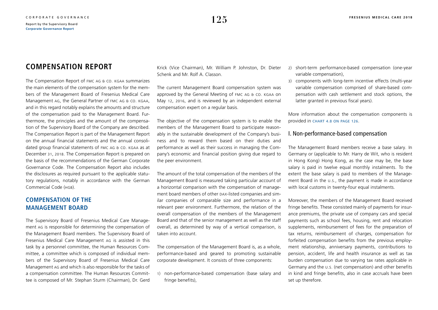# **COMPENSATION REPORT**

The Compensation Report of FMC AG & CO. KGAA summarizes the main elements of the compensation system for the members of the Management Board of Fresenius Medical Care Management ag, the General Partner of fmc ag & co. kgaa, and in this regard notably explains the amounts and structure of the compensation paid to the Management Board. Furthermore, the principles and the amount of the compensation of the Supervisory Board of the Company are described. The Compensation Report is part of the Management Report on the annual financial statements and the annual consolidated group financial statements of FMC AG & CO. KGAA as at December 31, 2018. The Compensation Report is prepared on the basis of the recommendations of the German Corporate Governance Code. The Compensation Report also includes the disclosures as required pursuant to the applicable statutory regulations, notably in accordance with the German Commercial Code (HGB).

### **COMPENSATION OF THE MANAGEMENT BOARD**

The Supervisory Board of Fresenius Medical Care Management ag is responsible for determining the compensation of the Management Board members. The Supervisory Board of Fresenius Medical Care Management ag is assisted in this task by a personnel committee, the Human Resources Committee, a committee which is composed of individual members of the Supervisory Board of Fresenius Medical Care Management ag and which is also responsible for the tasks of a compensation committee. The Human Resources Committee is composed of Mr. Stephan Sturm (Chairman), Dr. Gerd Krick (Vice Chairman), Mr. William P. Johnston, Dr. Dieter Schenk and Mr. Rolf A. Classon.

The current Management Board compensation system was approved by the General Meeting of FMC AG & CO. KGAA on May 12, 2016, and is reviewed by an independent external compensation expert on a regular basis.

The objective of the compensation system is to enable the members of the Management Board to participate reasonably in the sustainable development of the Company's business and to reward them based on their duties and performance as well as their success in managing the Company's economic and financial position giving due regard to the peer environment.

The amount of the total compensation of the members of the Management Board is measured taking particular account of a horizontal comparison with the compensation of management board members of other pax-listed companies and similar companies of comparable size and performance in a relevant peer environment. Furthermore, the relation of the overall compensation of the members of the Management Board and that of the senior management as well as the staff overall, as determined by way of a vertical comparison, is taken into account.

The compensation of the Management Board is, as a whole, performance-based and geared to promoting sustainable corporate development. It consists of three components:

1) non-performance-based compensation (base salary and fringe benefits),

- 2) short-term performance-based compensation (one-year variable compensation),
- 3) components with long-term incentive effects (multi-year variable compensation comprised of share-based compensation with cash settlement and stock options, the latter granted in previous fiscal years).

More information about the compensation components is provided in [chart 4.8 on page 126](#page-23-0).

### I. Non-performance-based compensation

The Management Board members receive a base salary. In Germany or (applicable to Mr. Harry de Wit, who is resident in Hong Kong) Hong Kong, as the case may be, the base salary is paid in twelve equal monthly instalments. To the extent the base salary is paid to members of the Management Board in the u.s., the payment is made in accordance with local customs in twenty-four equal instalments.

Moreover, the members of the Management Board received fringe benefits. These consisted mainly of payments for insurance premiums, the private use of company cars and special payments such as school fees, housing, rent and relocation supplements, reimbursement of fees for the preparation of tax returns, reimbursement of charges, compensation for forfeited compensation benefits from the previous employment relationship, anniversary payments, contributions to pension, accident, life and health insurance as well as tax burden compensation due to varying tax rates applicable in Germany and the u.s. (net compensation) and other benefits in kind and fringe benefits, also in case accruals have been set up therefore.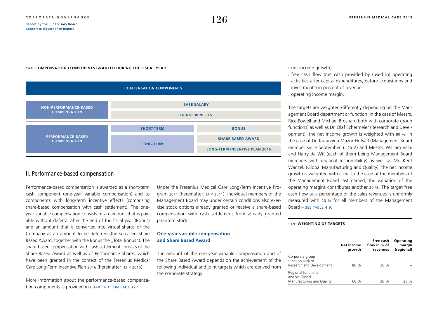#### <span id="page-23-0"></span>**C 4.8 COMPENSATION COMPONENTS GRANTED DURING THE FISCAL YEAR**



### II. Performance-based compensation

Performance-based compensation is awarded as a short-term cash component (one-year variable compensation) and as components with long-term incentive effects (comprising share-based compensation with cash settlement). The oneyear variable compensation consists of an amount that is payable without deferral after the end of the fiscal year (Bonus) and an amount that is converted into virtual shares of the Company as an amount to be deferred (the so-called Share Based Award, together with the Bonus the "Total Bonus"). The share-based compensation with cash settlement consists of the Share Based Award as well as of Performance Shares, which have been granted in the context of the Fresenius Medical Care Long-Term Incentive Plan 2016 (hereinafter: LTIP 2016).

More information about the performance-based compensation components is provided in CHART 4.11 ON PAGE 127.

Under the Fresenius Medical Care Long-Term Incentive Program 2011 (hereinafter: ltip 2011), individual members of the Management Board may under certain conditions also exercise stock options already granted or receive a share-based compensation with cash settlement from already granted phantom stock.

#### **One-year variable compensation and Share Based Award**

The amount of the one-year variable compensation and of the Share Based Award depends on the achievement of the following individual and joint targets which are derived from the corporate strategy:

#### › net income growth,

- $\rightarrow$  free cash flow (net cash provided by (used in) operating activities after capital expenditures, before acquisitions and investments) in percent of revenue,
- › operating income margin.

The targets are weighted differently depending on the Management Board department or function. In the case of Messrs. Rice Powell and Michael Brosnan (both with corporate group functions) as well as Dr. Olaf Schermeier (Research and Development), the net income growth is weighted with 80 %. In the case of Dr. Katarzyna Mazur-Hofsäß (Management Board member since September 1, 2018) and Messrs. William Valle and Harry de Wit (each of them being Management Board members with regional responsibility) as well as Mr. Kent Wanzek (Global Manufacturing and Quality), the net income growth is weighted with 60 %. In the case of the members of the Management Board last named, the valuation of the operating margins contributes another 20 %. The target free cash flow as a percentage of the sales revenues is uniformly measured with 20 % for all members of the Management Board – see TABLE  $4.9$ .

#### **T 4.9 WEIGHTING OF TARGETS**

|                                                                  | Net income<br>growth | Free cash<br>flow in % of<br>revenues | Operating<br>margin<br>(regional) |
|------------------------------------------------------------------|----------------------|---------------------------------------|-----------------------------------|
| Corporate group<br>function and/or<br>Research and Development   | 80 %                 | 20 %                                  |                                   |
| Regional functions<br>and/or Global<br>Manufacturing and Quality | 60 %                 | 20%                                   | 20%                               |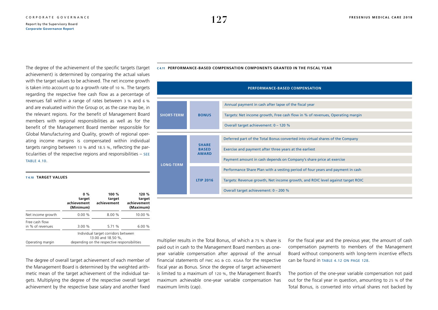<span id="page-24-0"></span>The degree of the achievement of the specific targets (target achievement) is determined by comparing the actual values with the target values to be achieved. The net income growth is taken into account up to a growth rate of 10 %. The targets regarding the respective free cash flow as a percentage of revenues fall within a range of rates between 3 % and 6 % and are evaluated within the Group or, as the case may be, in the relevant regions. For the benefit of Management Board members with regional responsibilities as well as for the benefit of the Management Board member responsible for Global Manufacturing and Quality, growth of regional operating income margins is compensated within individual targets ranging between 13 % and 18.5 %, reflecting the particularities of the respective regions and responsibilities – see table 4.10.

#### **T 4.10 TARGET VALUES**

|                                    | $0\%$<br>target<br>achievement<br>(Minimum) | 100 %<br>target<br>achievement                                                                            | 120 %<br>target<br>achievement<br>(Maximum) |
|------------------------------------|---------------------------------------------|-----------------------------------------------------------------------------------------------------------|---------------------------------------------|
| Net income growth                  | 0.00%                                       | 8.00 %                                                                                                    | 10.00 %                                     |
| Free cash flow<br>in % of revenues | 3.00 %                                      | 5.71 %                                                                                                    | 6.00%                                       |
| Operating margin                   |                                             | Individual target corridors between<br>13.00 and 18.50 %,<br>depending on the respective responsibilities |                                             |

The degree of overall target achievement of each member of the Management Board is determined by the weighted arithmetic mean of the target achievement of the individual targets. Multiplying the degree of the respective overall target achievement by the respective base salary and another fixed

|                   |                                              | <b>PERFORMANCE-BASED COMPENSATION</b>                                          |
|-------------------|----------------------------------------------|--------------------------------------------------------------------------------|
|                   |                                              |                                                                                |
|                   |                                              | Annual payment in cash after lapse of the fiscal year                          |
| <b>SHORT-TERM</b> | <b>BONUS</b>                                 | Targets: Net income growth, Free cash flow in % of revenues, Operating margin  |
|                   |                                              | Overall target achievement: 0 - 120 %                                          |
|                   |                                              |                                                                                |
|                   |                                              | Deferred part of the Total Bonus converted into virtual shares of the Company  |
|                   | <b>SHARE</b><br><b>BASED</b><br><b>AWARD</b> | Exercise and payment after three years at the earliest                         |
| <b>LONG-TERM</b>  |                                              | Payment amount in cash depends on Company's share price at exercise            |
|                   |                                              | Performance Share Plan with a vesting period of four years and payment in cash |
|                   | <b>LTIP 2016</b>                             | Targets: Revenue growth, Net income growth, and ROIC level against target ROIC |
|                   |                                              | Overall target achievement: 0 - 200 %                                          |

#### **C 4.11 PERFORMANCE-BASED COMPENSATION COMPONENTS GRANTED IN THE FISCAL YEAR**

multiplier results in the Total Bonus, of which a 75 % share is paid out in cash to the Management Board members as oneyear variable compensation after approval of the annual financial statements of fmc ag & co. kgaa for the respective fiscal year as Bonus. Since the degree of target achievement is limited to a maximum of 120 %, the Management Board's maximum achievable one-year variable compensation has maximum limits (cap).

For the fiscal year and the previous year, the amount of cash compensation payments to members of the Management Board without components with long-term incentive effects  $\frac{1}{2}$  can be found in TABLE 4.12 ON PAGE 128.

The portion of the one-year variable compensation not paid out for the fiscal year in question, amounting to 25 % of the Total Bonus, is converted into virtual shares not backed by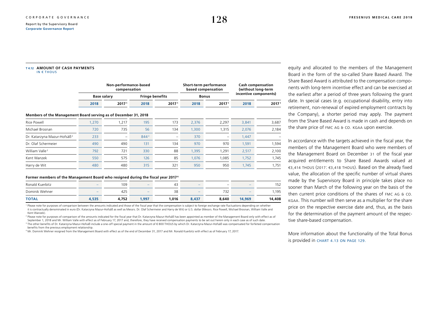#### <span id="page-25-0"></span>**T 4.12 AMOUNT OF CASH PAYMENTS** IN  $\epsilon$  THOUS

|                                                                 | Non-performance-based<br>compensation |                          | Short-term performance<br>based compensation |                        | <b>Cash compensation</b><br>(without long-term<br>incentive components) |                          |       |                   |
|-----------------------------------------------------------------|---------------------------------------|--------------------------|----------------------------------------------|------------------------|-------------------------------------------------------------------------|--------------------------|-------|-------------------|
|                                                                 |                                       | <b>Base salary</b>       |                                              | <b>Fringe benefits</b> |                                                                         | <b>Bonus</b>             |       |                   |
|                                                                 | 2018                                  | 2017 <sup>1</sup>        | 2018                                         | 2017 <sup>1</sup>      | 2018                                                                    | 2017 <sup>1</sup>        | 2018  | 2017 <sup>1</sup> |
| Members of the Management Board serving as of December 31, 2018 |                                       |                          |                                              |                        |                                                                         |                          |       |                   |
| Rice Powell                                                     | 1,270                                 | 1,217                    | 195                                          | 173                    | 2,376                                                                   | 2,297                    | 3,841 | 3,687             |
| Michael Brosnan                                                 | 720                                   | 735                      | 56                                           | 134                    | 1,300                                                                   | 1,315                    | 2,076 | 2,184             |
| Dr. Katarzyna Mazur-Hofsäß <sup>2</sup>                         | 233                                   | $\overline{\phantom{0}}$ | 8443                                         | -                      | 370                                                                     | $\overline{\phantom{a}}$ | 1,447 |                   |
| Dr. Olaf Schermeier                                             | 490                                   | 490                      | 131                                          | 134                    | 970                                                                     | 970                      | 1,591 | 1,594             |
| William Valle <sup>2</sup>                                      | 792                                   | 721                      | 330                                          | 88                     | 1,395                                                                   | 1,291                    | 2,517 | 2,100             |
| Kent Wanzek                                                     | 550                                   | 575                      | 126                                          | 85                     | 1,076                                                                   | 1,085                    | 1,752 | 1,745             |
| Harry de Wit                                                    | 480                                   | 480                      | 315                                          | 321                    | 950                                                                     | 950                      | 1,745 | 1,751             |

#### **Former members of the Management Board who resigned during the fiscal year 20174**

| Ronald Kuerbitz | $\overline{\phantom{a}}$ | 109   | $-$                      | $\overline{\phantom{0}}$<br>43 | $\overline{\phantom{a}}$ | $\overline{\phantom{a}}$ | $-$    | 152    |
|-----------------|--------------------------|-------|--------------------------|--------------------------------|--------------------------|--------------------------|--------|--------|
| Dominik Wehner  | $\overline{\phantom{a}}$ | 425   | $\overline{\phantom{a}}$ | 38                             | $\overline{\phantom{a}}$ | 732                      | $-$    | ,195   |
| <b>TOTAL</b>    | 4,535                    | 4,752 | ,997                     | ,016                           | 8,437                    | 8,640                    | 14,969 | 14,408 |

<sup>1</sup> Please note for purposes of comparison between the amounts indicated and those of the fiscal year that the compensation is subject to foreign exchange rate fluctuations depending on whether it is contractually denominated in euro (Dr. Katarzyna Mazur-Hofsäß as well as Messrs. Dr. Olaf Schermeier and Harry de Wit) or U.S. dollar (Messrs. Rice Powell, Michael Brosnan, William Valle and Kent Wanzek).

<sup>2</sup> Please note for purposes of comparison of the amounts indicated for the fiscal year that Dr. Katarzyna Mazur-Hofsäß has been appointed as member of the Management Board only with effect as of September 1, 2018 and Mr. William Valle with effect as of February 17, 2017 and, therefore, they have received compensation payments to be set out herein only in each case as of such date. <sup>3</sup> The other benefits of Dr. Katarzyna Mazur-Hofsäß include a one-off special payment in the amount of €800 THOUS by which Dr. Katarzyna Mazur-Hofsäß was compensated for forfeited compensation benefits from the previous employment relationship.

4 Mr. Dominik Wehner resigned from the Management Board with effect as of the end of December 31, 2017 and Mr. Ronald Kuerbitz with effect as of February 17, 2017.

equity and allocated to the members of the Management Board in the form of the so-called Share Based Award. The Share Based Award is attributed to the compensation components with long-term incentive effect and can be exercised at the earliest after a period of three years following the grant date. In special cases (e.g. occupational disability, entry into retirement, non-renewal of expired employment contracts by the Company), a shorter period may apply. The payment from the Share Based Award is made in cash and depends on the share price of FMC AG & CO. KGAA upon exercise.

In accordance with the targets achieved in the fiscal year, the members of the Management Board who were members of the Management Board on December 31 of the fiscal year acquired entitlements to Share Based Awards valued at €3,414 thous (2017: €3,418 thous). Based on the already fixed value, the allocation of the specific number of virtual shares made by the Supervisory Board in principle takes place no sooner than March of the following year on the basis of the then current price conditions of the shares of fmc ag & co. kgaa. This number will then serve as a multiplier for the share price on the respective exercise date and, thus, as the basis for the determination of the payment amount of the respective share-based compensation.

More information about the functionality of the Total Bonus is provided in [chart 4.13 on page 129](#page-26-0).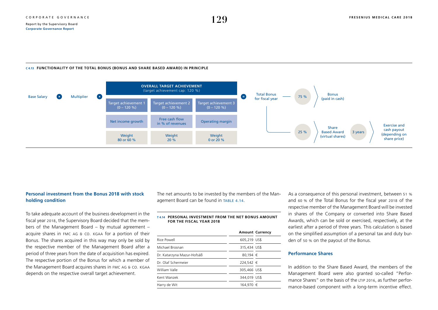#### <span id="page-26-0"></span>**C 4.13 FUNCTIONALITY OF THE TOTAL BONUS (BONUS AND SHARE BASED AWARD) IN PRINCIPLE**



### **Personal investment from the Bonus 2018 with stock holding condition**

To take adequate account of the business development in the fiscal year 2018, the Supervisory Board decided that the members of the Management Board – by mutual agreement – acquire shares in fmc ag & co. kgaa for a portion of their Bonus. The shares acquired in this way may only be sold by the respective member of the Management Board after a period of three years from the date of acquisition has expired. The respective portion of the Bonus for which a member of the Management Board acquires shares in FMC AG & CO. KGAA depends on the respective overall target achievement.

The net amounts to be invested by the members of the Management Board can be found in table 4.14.

#### **T 4.14 PERSONAL INVESTMENT FROM THE NET BONUS AMOUNT FOR THE FISCAL YEAR 2018**

|                            |              | <b>Amount Currency</b> |
|----------------------------|--------------|------------------------|
| Rice Powell                | 605,219 US\$ |                        |
| Michael Brosnan            | 315,434 US\$ |                        |
| Dr. Katarzyna Mazur-Hofsäß | 80,194 €     |                        |
| Dr. Olaf Schermeier        | 224.542 €    |                        |
| William Valle              | 305,466 US\$ |                        |
| Kent Wanzek                | 344,019 US\$ |                        |
| Harry de Wit               | 164.970 €    |                        |

As a consequence of this personal investment, between 51 % and 60 % of the Total Bonus for the fiscal year 2018 of the respective member of the Management Board will be invested in shares of the Company or converted into Share Based Awards, which can be sold or exercised, respectively, at the earliest after a period of three years. This calculation is based on the simplified assumption of a personal tax and duty burden of 50 % on the payout of the Bonus.

#### **Performance Shares**

In addition to the Share Based Award, the members of the Management Board were also granted so-called "Performance Shares" on the basis of the LTIP 2016, as further performance-based component with a long-term incentive effect.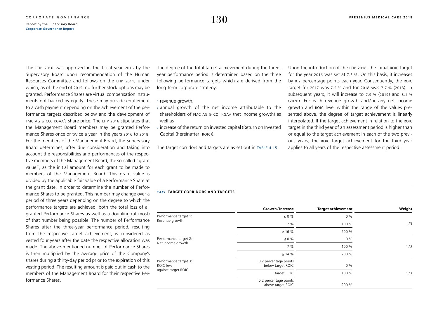The LTIP 2016 was approved in the fiscal year 2016 by the Supervisory Board upon recommendation of the Human Resources Committee and follows on the LTIP 2011, under which, as of the end of 2015, no further stock options may be granted. Performance Shares are virtual compensation instruments not backed by equity. These may provide entitlement to a cash payment depending on the achievement of the performance targets described below and the development of FMC AG & CO. KGAA's share price. The LTIP 2016 stipulates that the Management Board members may be granted Performance Shares once or twice a year in the years 2016 to 2018. For the members of the Management Board, the Supervisory Board determines, after due consideration and taking into account the responsibilities and performances of the respective members of the Management Board, the so-called "grant value", as the initial amount for each grant to be made to members of the Management Board. This grant value is divided by the applicable fair value of a Performance Share at the grant date, in order to determine the number of Performance Shares to be granted. This number may change over a period of three years depending on the degree to which the performance targets are achieved, both the total loss of all granted Performance Shares as well as a doubling (at most) of that number being possible. The number of Performance Shares after the three-year performance period, resulting from the respective target achievement, is considered as vested four years after the date the respective allocation was made. The above-mentioned number of Performance Shares is then multiplied by the average price of the Company's shares during a thirty-day period prior to the expiration of this vesting period. The resulting amount is paid out in cash to the members of the Management Board for their respective Performance Shares.

The degree of the total target achievement during the threeyear performance period is determined based on the three following performance targets which are derived from the long-term corporate strategy:

- › revenue growth,
- › annual growth of the net income attributable to the shareholders of FMC AG & CO. KGAA (net income growth) as well as
- $\rightarrow$  increase of the return on invested capital (Return on Invested Capital (hereinafter: ROIC)).

The target corridors and targets are as set out in TABLE 4.15.

Upon the introduction of the LTIP 2016, the initial ROIC target for the year 2016 was set at 7.3 %. On this basis, it increases by 0.2 percentage points each year. Consequently, the roic target for 2017 was 7.5 % and for 2018 was 7.7 % (2018). In subsequent years, it will increase to 7.9 % (2019) and 8.1 % (2020). For each revenue growth and/or any net income growth and roic level within the range of the values presented above, the degree of target achievement is linearly interpolated. If the target achievement in relation to the roic target in the third year of an assessment period is higher than or equal to the target achievement in each of the two previous years, the roic target achievement for the third year applies to all years of the respective assessment period.

#### **T 4.15 TARGET CORRIDORS AND TARGETS**

|                                     | Growth/Increase                            | <b>Target achievement</b> | Weight |
|-------------------------------------|--------------------------------------------|---------------------------|--------|
| Performance target 1:               | $\leq 0$ %                                 | $0\%$                     |        |
| Revenue growth                      | 7%                                         | 100 %                     | 1/3    |
|                                     | $\geq$ 16 %                                | 200 %                     |        |
| Performance target 2:               | $\leq 0$ %                                 | $0\%$                     |        |
| Net income growth                   | 7 %                                        | 100 %                     | 1/3    |
|                                     | $\geq$ 14 %                                | 200 %                     |        |
| Performance target 3:<br>ROIC level | 0.2 percentage points<br>below target ROIC | 0%                        |        |
| against target ROIC                 | target ROIC                                | 100 %                     | 1/3    |
|                                     | 0.2 percentage points<br>above target ROIC | 200 %                     |        |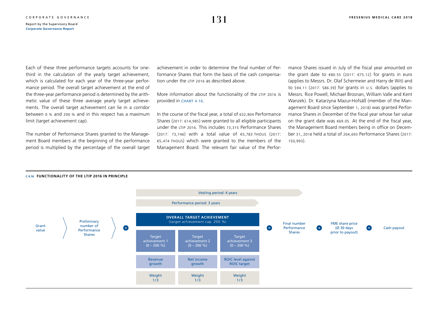Each of these three performance targets accounts for onethird in the calculation of the yearly target achievement, which is calculated for each year of the three-year performance period. The overall target achievement at the end of the three-year performance period is determined by the arithmetic value of these three average yearly target achievements. The overall target achievement can lie in a corridor between 0 % and 200 % and in this respect has a maximum limit (target achievement cap).

The number of Performance Shares granted to the Management Board members at the beginning of the performance period is multiplied by the percentage of the overall target achievement in order to determine the final number of Performance Shares that form the basis of the cash compensation under the LTIP 2016 as described above.

More information about the functionality of the LTIP 2016 is provided in chart 4.16.

In the course of the fiscal year, a total of 632,804 Performance Shares (2017: 614,985) were granted to all eligible participants under the ltip 2016. This includes 73,315 Performance Shares (2017: 73,746) with a total value of €5,783 thous (2017: €5,474 thous) which were granted to the members of the Management Board. The relevant fair value of the Performance Shares issued in July of the fiscal year amounted on the grant date to  $\epsilon$ 80.55 (2017:  $\epsilon$ 75.12) for grants in euro (applies to Messrs. Dr. Olaf Schermeier and Harry de Wit) and to \$94.11 (2017: \$86.39) for grants in u.s. dollars (applies to Messrs. Rice Powell, Michael Brosnan, William Valle and Kent Wanzek). Dr. Katarzyna Mazur-Hofsäß (member of the Management Board since September 1, 2018) was granted Performance Shares in December of the fiscal year whose fair value on the grant date was €69.05. At the end of the fiscal year, the Management Board members being in office on December 31, 2018 held a total of 204,693 Performance Shares (2017: 150,993).



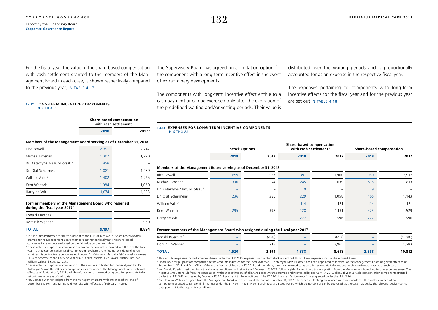For the fiscal year, the value of the share-based compensation with cash settlement granted to the members of the Management Board in each case, is shown respectively compared to the previous year, IN TABLE 4.17.

#### **T 4.17 LONG-TERM INCENTIVE COMPONENTS** IN  $\epsilon$  THOUS

**Share-based compensation with cash settlement <sup>1</sup> 2018 20172**

**Members of the Management Board serving as of December 31, 2018**

| Rice Powell                             | 2,391 | 2,247 |
|-----------------------------------------|-------|-------|
| Michael Brosnan                         | 1.307 | 1.290 |
| Dr. Katarzyna Mazur-Hofsäß <sup>3</sup> | 858   |       |
| Dr. Olaf Schermeier                     | 1.081 | 1.039 |
| William Valle <sup>3</sup>              | 1.402 | 1,265 |
| Kent Wanzek                             | 1.084 | 1,060 |
| Harry de Wit                            | 1.074 | 1.033 |

#### **Former members of the Management Board who resigned during the fiscal year 20174**

| <b>TOTAL</b>    | 9.197                    | 8,894                    |
|-----------------|--------------------------|--------------------------|
| Dominik Wehner  | $\overline{\phantom{a}}$ | 960                      |
| Ronald Kuerbitz | $\overline{\phantom{a}}$ | $\overline{\phantom{a}}$ |

<sup>1</sup> This includes Performance Shares pursuant to the LTIP 2016 as well as Share Based Awards granted to the Management Board members during the fiscal year. The share-based compensation amounts are based on the fair value on the grant date.

<sup>2</sup> Please note for purposes of comparison between the amounts indicated and those of the fiscal year that the compensation is subject to foreign exchange rate fluctuations depending on whether it is contractually denominated in euro (Dr. Katarzyna Mazur-Hofsäß as well as Messrs. Dr. Olaf Schermeier and Harry de Wit) or U.S. dollar (Messrs. Rice Powell, Michael Brosnan, William Valle and Kent Wanzek).

<sup>3</sup> Please note for purposes of comparison of the amounts indicated for the fiscal year that Dr. Katarzyna Mazur-Hofsäß has been appointed as member of the Management Board only with effect as of September 1, 2018 and, therefore, she has received compensation payments to be set out herein only as of such date.

<sup>4</sup> Mr. Dominik Wehner resigned from the Management Board with effect as of the end of December 31, 2017 and Mr. Ronald Kuerbitz with effect as of February 17, 2017.

The Supervisory Board has agreed on a limitation option for the component with a long-term incentive effect in the event of extraordinary developments.

The components with long-term incentive effect entitle to a cash payment or can be exercised only after the expiration of the predefined waiting and / or vesting periods. Their value is distributed over the waiting periods and is proportionally accounted for as an expense in the respective fiscal year.

The expenses pertaining to components with long-term incentive effects for the fiscal year and for the previous year are set out IN TABLE 4.18.

#### **T 4.18 EXPENSES FOR LONG-TERM INCENTIVE COMPONENTS** IN  $\epsilon$  THOUS

|                      | <b>Share-based compensation</b>   |                                 |
|----------------------|-----------------------------------|---------------------------------|
| <b>Stock Options</b> | with cash settlement <sup>1</sup> | <b>Share-based compensation</b> |
|                      |                                   |                                 |

**2018 2017 2018 2017 2018 2017**

#### **Members of the Management Board serving as of December 31, 2018**

| Rice Powell                             | 659                      | 957                      | 391 | 1,960 | 1,050 | 2,917 |
|-----------------------------------------|--------------------------|--------------------------|-----|-------|-------|-------|
| Michael Brosnan                         | 330                      | 174                      | 245 | 639   | 575   | 813   |
| Dr. Katarzyna Mazur-Hofsäß <sup>2</sup> | -                        | $\qquad \qquad$          | Q   |       | Q     |       |
| Dr. Olaf Schermeier                     | 236                      | 385                      | 229 | 1,058 | 465   | 1,443 |
| William Valle <sup>2</sup>              |                          | $\overline{\phantom{0}}$ | 114 | 121   | 114   | 121   |
| Kent Wanzek                             | 295                      | 398                      | 128 | 1,131 | 423   | 1,529 |
| Harry de Wit                            | $\overline{\phantom{a}}$ | $\overline{\phantom{0}}$ | 222 | 596   | 222   | 596   |
|                                         |                          |                          |     |       |       |       |

#### **Former members of the Management Board who resigned during the fiscal year 2017**

| Ronald Kuerbitz <sup>3</sup> | $\overline{\phantom{a}}$ | (438) | $\overline{\phantom{a}}$ | (852) |                          | ,290)  |
|------------------------------|--------------------------|-------|--------------------------|-------|--------------------------|--------|
| Dominik Wehner <sup>4</sup>  | $\overline{\phantom{a}}$ | 718   | $\overline{\phantom{a}}$ | 3,965 | $\overline{\phantom{a}}$ | 4,683  |
| <b>TOTAL</b>                 | ,520                     | 2,194 | 1,338                    | 8,618 | 2,858                    | 10,812 |

1 This includes expenses for Performance Shares under the LTIP 2016, expenses for phantom stock under the LTIP 2011 and expenses for the Share Based Award.

<sup>2</sup> Please note for purposes of comparison of the amounts indicated for the fiscal year that Dr. Katarzyna Mazur-Hofsäß has been appointed as member of the Management Board only with effect as of September 1, 2018 and Mr. William Valle with effect as of February 17, 2017 and, therefore, they have received compensation payments to be set out herein only in each case as of such date. <sup>3</sup> Mr. Ronald Kuerbitz resigned from the Management Board with effect as of February 17, 2017. Following Mr. Ronald Kuerbitz's resignation from the Management Board, no further expenses arose. The negative amounts result from the cancelation, without substitution, of all Share Based Awards granted and not vested by February 17, 2017, all multi-year variable compensation components granted under the LTIP 2011 not vested by February 17, 2017 pursuant to the conditions of the LTIP 2011, and all Performance Shares granted under the LTIP 2016.

<sup>4</sup> Mr. Dominik Wehner resigned from the Management Board with effect as of the end of December 31, 2017. The expenses for long-term incentive components result from the compensation components granted to Mr. Dominik Wehner under the LTIP 2011, the LTIP 2016 and the Share Based Award which are payable or can be exercised, as the case may be, by the relevant regular vesting date pursuant to the applicable conditions.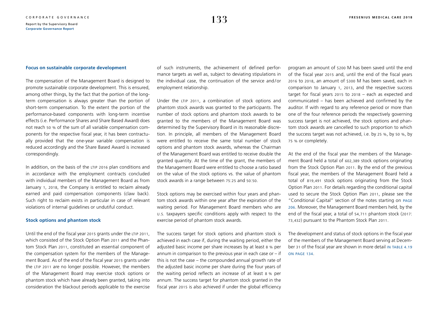#### **Focus on sustainable corporate development**

The compensation of the Management Board is designed to promote sustainable corporate development. This is ensured, among other things, by the fact that the portion of the longterm compensation is always greater than the portion of short-term compensation. To the extent the portion of the performance-based components with long-term incentive effects (i.e. Performance Shares and Share Based Award) does not reach 50 % of the sum of all variable compensation components for the respective fiscal year, it has been contractually provided that the one-year variable compensation is reduced accordingly and the Share Based Award is increased correspondingly.

In addition, on the basis of the LTIP 2016 plan conditions and in accordance with the employment contracts concluded with individual members of the Management Board as from January 1, 2018, the Company is entitled to reclaim already earned and paid compensation components (claw back). Such right to reclaim exists in particular in case of relevant violations of internal guidelines or undutiful conduct.

#### **Stock options and phantom stock**

Until the end of the fiscal year 2015 grants under the LTIP 2011, which consisted of the Stock Option Plan 2011 and the Phantom Stock Plan 2011, constituted an essential component of the compensation system for the members of the Management Board. As of the end of the fiscal year 2015 grants under the LTIP 2011 are no longer possible. However, the members of the Management Board may exercise stock options or phantom stock which have already been granted, taking into consideration the blackout periods applicable to the exercise of such instruments, the achievement of defined performance targets as well as, subject to deviating stipulations in the individual case, the continuation of the service and / or employment relationship.

Under the LTIP 2011, a combination of stock options and phantom stock awards was granted to the participants. The number of stock options and phantom stock awards to be granted to the members of the Management Board was determined by the Supervisory Board in its reasonable discretion. In principle, all members of the Management Board were entitled to receive the same total number of stock options and phantom stock awards, whereas the Chairman of the Management Board was entitled to receive double the granted quantity. At the time of the grant, the members of the Management Board were entitled to choose a ratio based on the value of the stock options vs. the value of phantom stock awards in a range between 75:25 and 50:50.

Stock options may be exercised within four years and phantom stock awards within one year after the expiration of the waiting period. For Management Board members who are u.s. taxpayers specific conditions apply with respect to the exercise period of phantom stock awards.

The success target for stock options and phantom stock is achieved in each case if, during the waiting period, either the adjusted basic income per share increases by at least 8 % per annum in comparison to the previous year in each case or – if this is not the case – the compounded annual growth rate of the adjusted basic income per share during the four years of the waiting period reflects an increase of at least 8 % per annum. The success target for phantom stock granted in the fiscal year 2015 is also achieved if under the global efficiency

program an amount of \$200 M has been saved until the end of the fiscal year 2015 and, until the end of the fiscal years 2016 to 2018, an amount of \$300 M has been saved, each in comparison to January 1, 2013, and the respective success target for fiscal years 2015 to 2018 – each as expected and communicated – has been achieved and confirmed by the auditor. If with regard to any reference period or more than one of the four reference periods the respectively governing success target is not achieved, the stock options and phantom stock awards are cancelled to such proportion to which the success target was not achieved, i.e. by 25 %, by 50 %, by 75 % or completely.

At the end of the fiscal year the members of the Management Board held a total of 602,389 stock options originating from the Stock Option Plan 2011. By the end of the previous fiscal year, the members of the Management Board held a total of 819,491 stock options originating from the Stock Option Plan 2011. For details regarding the conditional capital used to secure the Stock Option Plan 2011, please see the "Conditional Capital" section of the notes starting on [page](#page--1-0) [206](#page--1-0). Moreover, the Management Board members held, by the end of the fiscal year, a total of 54,711 phantom stock (2017: 73,432) pursuant to the Phantom Stock Plan 2011.

The development and status of stock options in the fiscal year of the members of the Management Board serving at December 31 of the fiscal year are shown in more detail IN TABLE 4.19 [on page 134](#page-31-0).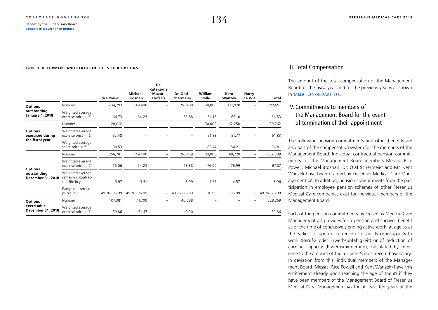#### <span id="page-31-0"></span>**T 4.19 DEVELOPMENT AND STATUS OF THE STOCK OPTIONS**

|                                                       |                                                              | <b>Rice Powell</b> | Michael<br><b>Brosnan</b> | Dr.<br>Katarzyna<br>Mazur-<br>Hofsäß | Dr. Olaf<br>Schermeier | William<br>Valle | Kent<br>Wanzek | Harry<br>de Wit          | Total         |
|-------------------------------------------------------|--------------------------------------------------------------|--------------------|---------------------------|--------------------------------------|------------------------|------------------|----------------|--------------------------|---------------|
| <b>Options</b>                                        | Number                                                       | 284,793            | 149,400                   |                                      | 96,488                 | 60,000           | 131,970        |                          | 722,651       |
| outstanding<br><b>January 1, 2018</b>                 | Weighted average<br>exercise price in $\epsilon$             | 64.73              | 64.23                     |                                      | 63.88                  | 64.16            | 65.10          |                          | 64.53         |
|                                                       | Number                                                       | 28,012             |                           |                                      |                        | 30,000           | 62,250         |                          | 120,262       |
| <b>Options</b><br>exercised during<br>the fiscal year | Weighted average<br>exercise price in $\epsilon$             | 52.48              |                           |                                      |                        | 51.33            | 51.77          |                          | 51.83         |
|                                                       | Weighted average<br>share price in $\epsilon$                | 90.53              |                           |                                      |                        | 88.74            | 84.21          |                          | 86.81         |
|                                                       | Number                                                       | 256,781            | 149,400                   |                                      | 96,488                 | 30,000           | 69,720         |                          | 602,389       |
|                                                       | Weighted average<br>exercise price in $\epsilon$             | 66.06              | 64.23                     | $\overline{\phantom{0}}$             | 63.88                  | 76.99            | 76.99          |                          | 67.07         |
| <b>Options</b><br>outstanding<br>December 31, 2018    | Weighted average<br>remaining contrac-<br>tual life in years | 3.97               | 3.51                      |                                      | 3.99                   | 4.57             | 4.57           |                          | 3.96          |
|                                                       | Range of exercise<br>prices in $\epsilon$                    | 49.76-76.99        | 49.76 - 76.99             | -                                    | 49.76 - 76.99          | 76.99            | 76.99          | $\overline{\phantom{0}}$ | 49.76 - 76.99 |
| <b>Options</b>                                        | Number                                                       | 107,381            | 74,700                    |                                      | 46,688                 |                  |                |                          | 228,769       |
| exercisable<br>December 31, 2018                      | Weighted average<br>exercise price in $\epsilon$             | 50.86              | 51.47                     |                                      | 49.90                  |                  |                |                          | 50.86         |

### III. Total Compensation

The amount of the total compensation of the Management Board for the fiscal year and for the previous year is as shown in [table 4.20 on page 135](#page-32-0).

# IV. Commitments to members of the Management Board for the event of termination of their appointment

The following pension commitments and other benefits are also part of the compensation system for the members of the Management Board: Individual contractual pension commitments for the Management Board members Messrs. Rice Powell, Michael Brosnan, Dr. Olaf Schermeier and Mr. Kent Wanzek have been granted by Fresenius Medical Care Management ag. In addition, pension commitments from the participation in employee pension schemes of other Fresenius Medical Care companies exist for individual members of the Management Board.

Each of the pension commitments by Fresenius Medical Care Management ag provides for a pension and survivor benefit as of the time of conclusively ending active work, at age 65 at the earliest or upon occurrence of disability or incapacity to work (Berufs- oder Erwerbsunfähigkeit) or of reduction of earning capacity (Erwerbsminderung), calculated by reference to the amount of the recipient's most recent base salary. In deviation from this, individual members of the Management Board (Messrs. Rice Powell and Kent Wanzek) have this entitlement already upon reaching the age of the 63 if they have been members of the Management Board of Fresenius Medical Care Management ag for at least ten years at the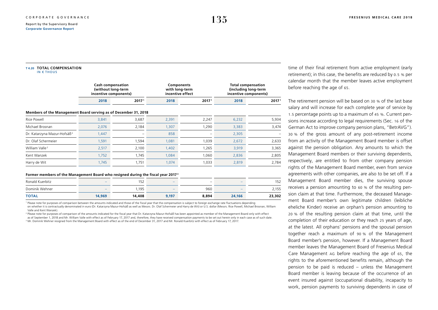#### <span id="page-32-0"></span>**T 4.20 TOTAL COMPENSATION** IN  $\epsilon$  THOUS

|                                                                 | <b>Cash compensation</b><br>(without long-term<br>incentive components) |                   | Components<br>with long-term<br>incentive effect |                   | <b>Total compensation</b><br>(including long-term<br>incentive components) |       |  |
|-----------------------------------------------------------------|-------------------------------------------------------------------------|-------------------|--------------------------------------------------|-------------------|----------------------------------------------------------------------------|-------|--|
|                                                                 | 2018                                                                    | 2017 <sup>1</sup> | 2018                                             | 2017 <sup>1</sup> | 2018                                                                       | 20171 |  |
| Members of the Management Board serving as of December 31, 2018 |                                                                         |                   |                                                  |                   |                                                                            |       |  |
| Rice Powell                                                     | 3,841                                                                   | 3,687             | 2,391                                            | 2,247             | 6,232                                                                      | 5,934 |  |
| Michael Brosnan                                                 | 2,076                                                                   | 2,184             | 1,307                                            | 1,290             | 3,383                                                                      | 3,474 |  |
| Dr. Katarzyna Mazur-Hofsäß <sup>2</sup>                         | 1,447                                                                   | -                 | 858                                              |                   | 2,305                                                                      |       |  |
| Dr. Olaf Schermeier                                             | 1,591                                                                   | 1,594             | 1,081                                            | 1,039             | 2,672                                                                      | 2,633 |  |
| William Valle <sup>2</sup>                                      | 2,517                                                                   | 2,100             | 1,402                                            | 1,265             | 3,919                                                                      | 3,365 |  |
| Kent Wanzek                                                     | 1,752                                                                   | 1,745             | 1,084                                            | 1,060             | 2,836                                                                      | 2,805 |  |
| Harry de Wit                                                    | 1,745                                                                   | 1,751             | 1,074                                            | 1,033             | 2,819                                                                      | 2,784 |  |

#### **Former members of the Management Board who resigned during the fiscal year 20173**

| Ronald Kuerbitz | $\overline{\phantom{a}}$ | 152    | $\overline{\phantom{a}}$ | $\overline{\phantom{a}}$ | $\overline{\phantom{a}}$ | 152    |
|-----------------|--------------------------|--------|--------------------------|--------------------------|--------------------------|--------|
| Dominik Wehner  | $\overline{\phantom{a}}$ | ,195   | $\overline{\phantom{a}}$ | 960                      | $\overline{\phantom{a}}$ | 2,155  |
| <b>TOTAL</b>    | 14,969                   | 14,408 | 9,197                    | 8,894                    | 24,166                   | 23,302 |

<sup>1</sup> Please note for purposes of comparison between the amounts indicated and those of the fiscal year that the compensation is subject to foreign exchange rate fluctuations depending on whether it is contractually denominated in euro (Dr. Katarzyna Mazur-Hofsäß as well as Messrs. Dr. Olaf Schermeier and Harry de Wit) or U.S. dollar (Messrs. Rice Powell, Michael Brosnan, William Valle and Kent Wanzek).

<sup>2</sup> Please note for purposes of comparison of the amounts indicated for the fiscal year that Dr. Katarzyna Mazur-Hofsäß has been appointed as member of the Management Board only with effect as of September 1, 2018 and Mr. William Valle with effect as of February 17, 2017 and, therefore, they have received compensation payments to be set out herein only in each case as of such date. 3 Mr. Dominik Wehner resigned from the Management Board with effect as of the end of December 31, 2017 and Mr. Ronald Kuerbitz with effect as of February 17, 2017.

time of their final retirement from active employment (early retirement); in this case, the benefits are reduced by 0.5 % per calendar month that the member leaves active employment before reaching the age of 65.

The retirement pension will be based on 30 % of the last base salary and will increase for each complete year of service by 1.5 percentage points up to a maximum of 45 %. Current pensions increase according to legal requirements (Sec. 16 of the German Act to improve company pension plans, "BetrAVG"). 30 % of the gross amount of any post-retirement income from an activity of the Management Board member is offset against the pension obligation. Any amounts to which the Management Board members or their surviving dependents, respectively, are entitled to from other company pension rights of the Management Board member, even from service agreements with other companies, are also to be set off. If a Management Board member dies, the surviving spouse receives a pension amounting to 60 % of the resulting pension claim at that time. Furthermore, the deceased Management Board member's own legitimate children (leibliche eheliche Kinder) receive an orphan's pension amounting to 20 % of the resulting pension claim at that time, until the completion of their education or they reach 25 years of age, at the latest. All orphans' pensions and the spousal pension together reach a maximum of 90 % of the Management Board member's pension, however. If a Management Board member leaves the Management Board of Fresenius Medical Care Management ag before reaching the age of 65, the rights to the aforementioned benefits remain, although the pension to be paid is reduced – unless the Management Board member is leaving because of the occurrence of an event insured against (occupational disability, incapacity to work, pension payments to surviving dependents in case of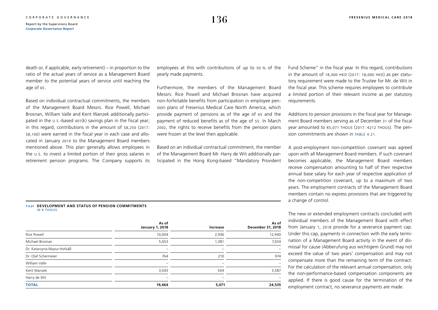death or, if applicable, early retirement) – in proportion to the ratio of the actual years of service as a Management Board member to the potential years of service until reaching the age of 65.

Based on individual contractual commitments, the members of the Management Board Messrs. Rice Powell, Michael Brosnan, William Valle and Kent Wanzek additionally participated in the u.s.-based 401(k) savings plan in the fiscal year; in this regard, contributions in the amount of \$8,250 (2017: \$8,100) were earned in the fiscal year in each case and allocated in January 2019 to the Management Board members mentioned above. This plan generally allows employees in the u.s. to invest a limited portion of their gross salaries in retirement pension programs. The Company supports its employees at this with contributions of up to 50 % of the yearly made payments.

Furthermore, the members of the Management Board Messrs. Rice Powell and Michael Brosnan have acquired non-forfeitable benefits from participation in employee pension plans of Fresenius Medical Care North America, which provide payment of pensions as of the age of 65 and the payment of reduced benefits as of the age of 55. In March 2002, the rights to receive benefits from the pension plans were frozen at the level then applicable.

Based on an individual contractual commitment, the member of the Management Board Mr. Harry de Wit additionally participated in the Hong Kong-based "Mandatory Provident Fund Scheme" in the fiscal year. In this regard, contributions in the amount of  $18,000$  HKD (2017:  $18,000$  HKD) as per statutory requirement were made to the Trustee for Mr. de Wit in the fiscal year. This scheme requires employees to contribute a limited portion of their relevant income as per statutory requirements.

Additions to pension provisions in the fiscal year for Management Board members serving as of December 31 of the fiscal year amounted to €5,071 thous (2017: €212 thous). The pension commitments are shown in TABLE 4.21.

A post-employment non-competition covenant was agreed upon with all Management Board members. If such covenant becomes applicable, the Management Board members receive compensation amounting to half of their respective annual base salary for each year of respective application of the non-competition covenant, up to a maximum of two years. The employment contracts of the Management Board members contain no express provisions that are triggered by a change of control.

The new or extended employment contracts concluded with individual members of the Management Board with effect from January 1, 2018 provide for a severance payment cap. Under this cap, payments in connection with the early termination of a Management Board activity in the event of dismissal for cause (Abberufung aus wichtigem Grund) may not exceed the value of two years' compensation and may not compensate more than the remaining term of the contract. For the calculation of the relevant annual compensation, only the non-performance-based compensation components are applied. If there is good cause for the termination of the employment contract, no severance payments are made.

#### **T 4.21 DEVELOPMENT AND STATUS OF PENSION COMMITMENTS** IN  $\epsilon$  THOUS

|                            | As of<br><b>January 1, 2018</b> | Increase                 | As of<br>December 31, 2018 |
|----------------------------|---------------------------------|--------------------------|----------------------------|
| Rice Powell                | 10,004                          | 2,936                    | 12,940                     |
| Michael Brosnan            | 5,653                           | 1,381                    | 7,034                      |
| Dr. Katarzyna Mazur-Hofsäß | $\overline{\phantom{a}}$        | -                        | $\overline{\phantom{a}}$   |
| Dr. Olaf Schermeier        | 764                             | 210                      | 974                        |
| William Valle              | $\overline{\phantom{a}}$        | $\overline{\phantom{a}}$ |                            |
| Kent Wanzek                | 3,043                           | 544                      | 3,587                      |
| Harry de Wit               | -                               | -                        |                            |
| <b>TOTAL</b>               | 19,464                          | 5,071                    | 24,535                     |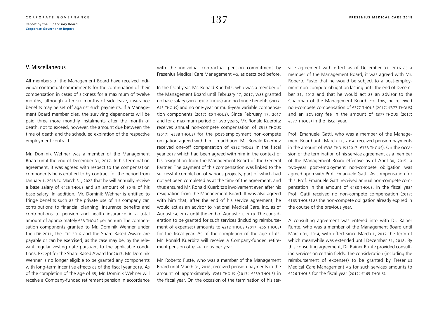### V. Miscellaneous

All members of the Management Board have received individual contractual commitments for the continuation of their compensation in cases of sickness for a maximum of twelve months, although after six months of sick leave, insurance benefits may be set off against such payments. If a Management Board member dies, the surviving dependents will be paid three more monthly instalments after the month of death, not to exceed, however, the amount due between the time of death and the scheduled expiration of the respective employment contract.

Mr. Dominik Wehner was a member of the Management Board until the end of December 31, 2017. In his termination agreement, it was agreed with respect to the compensation components he is entitled to by contract for the period from January 1, 2018 to March 31, 2022 that he will annually receive a base salary of  $\epsilon$ 425 THOUS and an amount of 30 % of his base salary. In addition, Mr. Dominik Wehner is entitled to fringe benefits such as the private use of his company car, contributions to financial planning, insurance benefits and contributions to pension and health insurance in a total amount of approximately €38 thous per annum The compensation components granted to Mr. Dominik Wehner under the LTIP 2011, the LTIP 2016 and the Share Based Award are payable or can be exercised, as the case may be, by the relevant regular vesting date pursuant to the applicable conditions. Except for the Share Based Award for 2017, Mr. Dominik Wehner is no longer eligible to be granted any components with long-term incentive effects as of the fiscal year 2018. As of the completion of the age of 65, Mr. Dominik Wehner will receive a Company-funded retirement pension in accordance with the individual contractual pension commitment by Fresenius Medical Care Management ag, as described before.

In the fiscal year, Mr. Ronald Kuerbitz, who was a member of the Management Board until February 17, 2017, was granted no base salary (2017: €109 thous) and no fringe benefits (2017: €43 thous) and no one-year or multi-year variable compensation components (2017: €0 thous). Since February 17, 2017 and for a maximum period of two years, Mr. Ronald Kuerbitz receives annual non-compete compensation of €515 thous (2017: €538 thous) for the post-employment non-compete obligation agreed with him. In addition, Mr. Ronald Kuerbitz received one-off compensation of €852 thous in the fiscal year 2017 which had been agreed with him in the context of his resignation from the Management Board of the General Partner. The payment of this compensation was linked to the successful completion of various projects, part of which had not yet been completed as at the time of the agreement, and thus ensured Mr. Ronald Kuerbitz's involvement even after his resignation from the Management Board. It was also agreed with him that, after the end of his service agreement, he would act as an advisor to National Medical Care, Inc. as of August 14, 2017 until the end of August 13, 2018. The consideration to be granted for such services (including reimbursement of expenses) amounts to €212 thous (2017: €55 thous) for the fiscal year. As of the completion of the age of 65, Mr. Ronald Kuerbitz will receive a Company-funded retirement pension of €124 thous per year.

Mr. Roberto Fusté, who was a member of the Management Board until March 31, 2016, received pension payments in the amount of approximately €261 thous (2017: €239 thous) in the fiscal year. On the occasion of the termination of his service agreement with effect as of December 31, 2016 as a member of the Management Board, it was agreed with Mr. Roberto Fusté that he would be subject to a post-employment non-compete obligation lasting until the end of December 31, 2018 and that he would act as an advisor to the Chairman of the Management Board. For this, he received non-compete compensation of €377 thous (2017: €377 thous) and an advisory fee in the amount of €377 thous (2017: €377 thous) in the fiscal year.

Prof. Emanuele Gatti, who was a member of the Management Board until March 31, 2014, received pension payments in the amount of €338 thous (2017: €338 thous). On the occasion of the termination of his service agreement as a member of the Management Board effective as of April 30, 2015, a two-year post-employment non-compete obligation was agreed upon with Prof. Emanuele Gatti. As compensation for this, Prof. Emanuele Gatti received annual non-compete compensation in the amount of €488 thous. In the fiscal year Prof. Gatti received no non-compete compensation (2017: €163 thous) as the non-compete obligation already expired in the course of the previous year.

A consulting agreement was entered into with Dr. Rainer Runte, who was a member of the Management Board until March 31, 2014, with effect since March 1, 2017 the term of which meanwhile was extended until December 31, 2018. By this consulting agreement, Dr. Rainer Runte provided consulting services on certain fields. The consideration (including the reimbursement of expenses) to be granted by Fresenius Medical Care Management ag for such services amounts to €226 thous for the fiscal year (2017: €165 thous).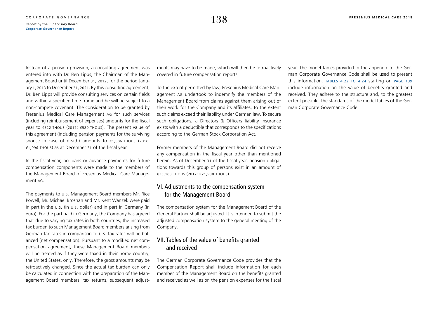Instead of a pension provision, a consulting agreement was entered into with Dr. Ben Lipps, the Chairman of the Management Board until December 31, 2012, for the period January 1, 2013 to December 31, 2021. By this consulting agreement, Dr. Ben Lipps will provide consulting services on certain fields and within a specified time frame and he will be subject to a non-compete covenant. The consideration to be granted by Fresenius Medical Care Management ag for such services (including reimbursement of expenses) amounts for the fiscal year to €522 thous (2017: €580 thous). The present value of this agreement (including pension payments for the surviving spouse in case of death) amounts to €1,586 THOUS (2016: €1,996 thous) as at December 31 of the fiscal year.

In the fiscal year, no loans or advance payments for future compensation components were made to the members of the Management Board of Fresenius Medical Care Management ag.

The payments to u.s. Management Board members Mr. Rice Powell, Mr. Michael Brosnan and Mr. Kent Wanzek were paid in part in the u.s. (in u.s. dollar) and in part in Germany (in euro). For the part paid in Germany, the Company has agreed that due to varying tax rates in both countries, the increased tax burden to such Management Board members arising from German tax rates in comparison to u.s. tax rates will be balanced (net compensation). Pursuant to a modified net compensation agreement, these Management Board members will be treated as if they were taxed in their home country, the United States, only. Therefore, the gross amounts may be retroactively changed. Since the actual tax burden can only be calculated in connection with the preparation of the Management Board members' tax returns, subsequent adjustments may have to be made, which will then be retroactively covered in future compensation reports.

To the extent permitted by law, Fresenius Medical Care Management ag undertook to indemnify the members of the Management Board from claims against them arising out of their work for the Company and its affiliates, to the extent such claims exceed their liability under German law. To secure such obligations, a Directors & Officers liability insurance exists with a deductible that corresponds to the specifications according to the German Stock Corporation Act.

Former members of the Management Board did not receive any compensation in the fiscal year other than mentioned herein. As of December 31 of the fiscal year, pension obligations towards this group of persons exist in an amount of €25,163 thous (2017: €21,930 thous).

### VI. Adjustments to the compensation system for the Management Board

The compensation system for the Management Board of the General Partner shall be adjusted. It is intended to submit the adjusted compensation system to the general meeting of the Company.

### VII. Tables of the value of benefits granted and received

The German Corporate Governance Code provides that the Compensation Report shall include information for each member of the Management Board on the benefits granted and received as well as on the pension expenses for the fiscal year. The model tables provided in the appendix to the German Corporate Governance Code shall be used to present this information. [tables 4.22](#page-36-0) [to 4.24](#page-39-0) starting on [page 139](#page-36-0) include information on the value of benefits granted and received. They adhere to the structure and, to the greatest extent possible, the standards of the model tables of the German Corporate Governance Code.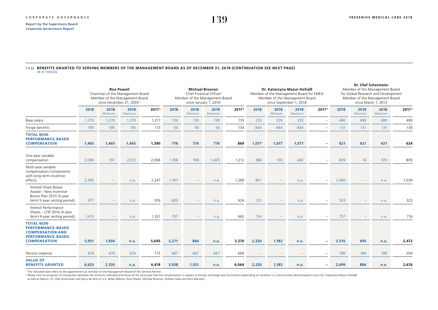#### <span id="page-36-0"></span>**T 4.22 BENEFITS GRANTED TO SERVING MEMBERS OF THE MANAGEMENT BOARD AS OF DECEMBER 31, 2018 (CONTINUATION SEE NEXT PAGE)** IN € THOUS

|                                                                                                                             | <b>Rice Powell</b><br>Chairman of the Management Board<br>Member of the Management Board<br>since December 21, 2005 <sup>1</sup> |                 |                 |                   | <b>Michael Brosnan</b><br>Chief Financial Officer<br>Member of the Management Board<br>since January 1, 2010 |                        |                 | Dr. Katarzyna Mazur-Hofsäß<br>Member of the Management Board for EMEA<br>Member of the Management Board<br>since September 1, 2018 |       |                 |                 | Dr. Olaf Schermeier<br>Member of the Management Board<br>for Global Research and Development<br>Member of the Management Board<br>since March 1, 2013 |       |                 |                        |                   |
|-----------------------------------------------------------------------------------------------------------------------------|----------------------------------------------------------------------------------------------------------------------------------|-----------------|-----------------|-------------------|--------------------------------------------------------------------------------------------------------------|------------------------|-----------------|------------------------------------------------------------------------------------------------------------------------------------|-------|-----------------|-----------------|-------------------------------------------------------------------------------------------------------------------------------------------------------|-------|-----------------|------------------------|-------------------|
|                                                                                                                             | 2018                                                                                                                             | 2018<br>Minimum | 2018<br>Maximum | 2017 <sup>2</sup> | 2018                                                                                                         | 2018<br><b>Minimum</b> | 2018<br>Maximum | 2017 <sup>2</sup>                                                                                                                  | 2018  | 2018<br>Minimum | 2018<br>Maximum | 2017 <sup>2</sup>                                                                                                                                     | 2018  | 2018<br>Minimum | 2018<br><b>Maximum</b> | 2017 <sup>2</sup> |
| Base salary                                                                                                                 | 1,270                                                                                                                            | 1,270           | 1,270           | 1,217             | 720                                                                                                          | 720                    | 720             | 735                                                                                                                                | 233   | 233             | 233             |                                                                                                                                                       | 490   | 490             | 490                    | 490               |
| Fringe benefits                                                                                                             | 195                                                                                                                              | 195             | 195             | 173               | 56                                                                                                           | 56                     | 56              | 134                                                                                                                                | 844   | 844             | 844             | $\equiv$                                                                                                                                              | 131   | 131             | 131                    | 134               |
| <b>TOTAL NON-</b><br><b>PERFORMANCE-BASED</b><br><b>COMPENSATION</b>                                                        | 1,465                                                                                                                            | 1,465           | 1,465           | 1,390             | 776                                                                                                          | 776                    | 776             | 869                                                                                                                                | 1,077 | 1,077           | 1,077           |                                                                                                                                                       | 621   | 621             | 621                    | 624               |
| One-year variable<br>compensation                                                                                           | 2,096                                                                                                                            | 191             | 2,515           | 2,008             | 1,188                                                                                                        | 108                    | 1,425           | 1,212                                                                                                                              | 386   | 105             | 463             |                                                                                                                                                       | 809   | 74              | 970                    | 809               |
| Multi-year variable<br>compensation/components<br>with long-term incentive<br>effects                                       | 2,390                                                                                                                            |                 | n.a.            | 2,247             | 1,307                                                                                                        |                        | n.a.            | 1,289                                                                                                                              | 857   |                 | n.a.            | $\overline{\phantom{m}}$                                                                                                                              | 1,080 |                 | n.a.                   | 1,039             |
| thereof Share Based<br>Award - New Incentive<br>Bonus Plan 2010 (3-year<br>term/3-year vesting period)                      | 977                                                                                                                              |                 | n.a.            | 916               | 600                                                                                                          |                        | n.a.            | 624                                                                                                                                | 123   |                 | n.a.            |                                                                                                                                                       | 323   |                 | n.a.                   | 323               |
| thereof Performance<br>Shares - LTIP 2016 (4-year<br>term/4-year vesting period)                                            | 1,413                                                                                                                            |                 | n.a.            | 1,331             | 707                                                                                                          |                        | n.a.            | 665                                                                                                                                | 734   |                 | n.a.            | $\overline{\phantom{m}}$                                                                                                                              | 757   |                 | n.a.                   | 716               |
| <b>TOTAL NON-</b><br><b>PERFORMANCE-BASED</b><br><b>COMPENSATION AND</b><br><b>PERFORMANCE-BASED</b><br><b>COMPENSATION</b> | 5,951                                                                                                                            | 1,656           | n.a.            | 5,645             | 3,271                                                                                                        | 884                    | n.a.            | 3,370                                                                                                                              | 2,320 | 1,182           | n.a.            |                                                                                                                                                       | 2,510 | 695             | n.a.                   | 2,472             |
| Pension expense                                                                                                             | 674                                                                                                                              | 674             | 674             | 773               | 667                                                                                                          | 667                    | 667             | 694                                                                                                                                |       |                 |                 |                                                                                                                                                       | 189   | 189             | 189                    | 204               |
| <b>VALUE OF</b><br><b>BENEFITS GRANTED</b>                                                                                  | 6,625                                                                                                                            | 2,330           | n.a.            | 6,418             | 3,938                                                                                                        | 1,551                  | n.a.            | 4,064                                                                                                                              | 2,320 | 1,182           | n.a.            |                                                                                                                                                       | 2,699 | 884             | n.a.                   | 2,676             |

<sup>1</sup> The indicated date refers to the appointment as member of the Management Board of the General Partner.

<sup>2</sup> Please note for purposes of comparison between the amounts indicated and those of the fiscal year that the compensation is subject to foreign exchange rate fluctuations depending on whether it is contractually denomina

as well as Messrs. Dr. Olaf Schermeier and Harry de Wit) or U.S. dollar (Messrs. Rice Powell, Michael Brosnan, William Valle and Kent Wanzek).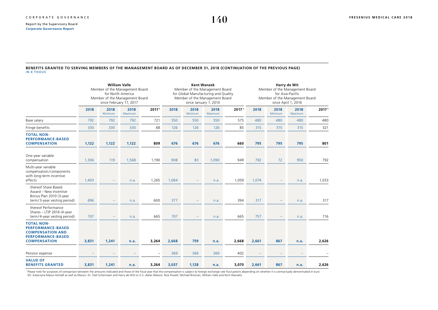#### **BENEFITS GRANTED TO SERVING MEMBERS OF THE MANAGEMENT BOARD AS OF DECEMBER 31, 2018 (CONTINUATION OF THE PREVIOUS PAGE)** IN € THOUS

|                                                                                                                             | <b>William Valle</b><br>Member of the Management Board<br>for North America<br>Member of the Management Board<br>since February 17, 2017 |                 |                 |                          | <b>Kent Wanzek</b><br>Member of the Management Board<br>for Global Manufacturing and Quality<br>Member of the Management Board<br>since January 1, 2010 |                          |                 |                   | Harry de Wit<br>Member of the Management Board<br>for Asia-Pacific<br>Member of the Management Board<br>since April 1, 2016 |                 |                 |                   |
|-----------------------------------------------------------------------------------------------------------------------------|------------------------------------------------------------------------------------------------------------------------------------------|-----------------|-----------------|--------------------------|---------------------------------------------------------------------------------------------------------------------------------------------------------|--------------------------|-----------------|-------------------|-----------------------------------------------------------------------------------------------------------------------------|-----------------|-----------------|-------------------|
|                                                                                                                             | 2018                                                                                                                                     | 2018<br>Minimum | 2018<br>Maximum | 2017 <sup>1</sup>        | 2018                                                                                                                                                    | 2018<br>Minimum          | 2018<br>Maximum | 2017 <sup>1</sup> | 2018                                                                                                                        | 2018<br>Minimum | 2018<br>Maximum | 2017 <sup>1</sup> |
| Base salary                                                                                                                 | 792                                                                                                                                      | 792             | 792             | 721                      | 550                                                                                                                                                     | 550                      | 550             | 575               | 480                                                                                                                         | 480             | 480             | 480               |
| Fringe benefits                                                                                                             | 330                                                                                                                                      | 330             | 330             | 88                       | 126                                                                                                                                                     | 126                      | 126             | 85                | 315                                                                                                                         | 315             | 315             | 321               |
| <b>TOTAL NON-</b><br><b>PERFORMANCE-BASED</b><br><b>COMPENSATION</b>                                                        | 1,122                                                                                                                                    | 1,122           | 1,122           | 809                      | 676                                                                                                                                                     | 676                      | 676             | 660               | 795                                                                                                                         | 795             | 795             | 801               |
| One-year variable<br>compensation                                                                                           | 1,306                                                                                                                                    | 119             | 1,568           | 1,190                    | 908                                                                                                                                                     | 83                       | 1,090           | 949               | 792                                                                                                                         | 72              | 950             | 792               |
| Multi-year variable<br>compensation/components<br>with long-term incentive<br>effects                                       | 1,403                                                                                                                                    |                 | n.a.            | 1,265                    | 1,084                                                                                                                                                   | $\qquad \qquad -$        | n.a.            | 1,059             | 1,074                                                                                                                       |                 | n.a.            | 1,033             |
| thereof Share Based<br>Award - New Incentive<br>Bonus Plan 2010 (3-year<br>term/3-year vesting period)                      | 696                                                                                                                                      |                 | n.a.            | 600                      | 377                                                                                                                                                     | $\overline{\phantom{m}}$ | n.a.            | 394               | 317                                                                                                                         |                 | n.a.            | 317               |
| thereof Performance<br>Shares - LTIP 2016 (4-year<br>term/4-year vesting period)                                            | 707                                                                                                                                      | -               | n.a.            | 665                      | 707                                                                                                                                                     | $\qquad \qquad -$        | n.a.            | 665               | 757                                                                                                                         |                 | n.a.            | 716               |
| <b>TOTAL NON-</b><br><b>PERFORMANCE-BASED</b><br><b>COMPENSATION AND</b><br><b>PERFORMANCE-BASED</b><br><b>COMPENSATION</b> | 3,831                                                                                                                                    | 1,241           | n.a.            | 3,264                    | 2,668                                                                                                                                                   | 759                      | n.a.            | 2,668             | 2,661                                                                                                                       | 867             | n.a.            | 2,626             |
| Pension expense                                                                                                             |                                                                                                                                          |                 |                 | $\overline{\phantom{a}}$ | 369                                                                                                                                                     | 369                      | 369             | 402               |                                                                                                                             |                 |                 |                   |
| <b>VALUE OF</b><br><b>BENEFITS GRANTED</b>                                                                                  | 3,831                                                                                                                                    | 1,241           | n.a.            | 3,264                    | 3,037                                                                                                                                                   | 1,128                    | n.a.            | 3,070             | 2,661                                                                                                                       | 867             | n.a.            | 2,626             |

<sup>1</sup> Please note for purposes of comparison between the amounts indicated and those of the fiscal year that the compensation is subject to foreign exchange rate fluctuations depending on whether it is contractually denomina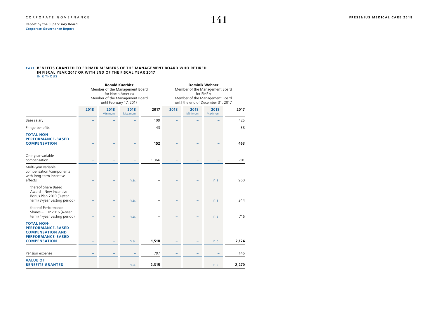#### **T 4.23 BENEFITS GRANTED TO FORMER MEMBERS OF THE MANAGEMENT BOARD WHO RETIRED IN FISCAL YEAR 2017 OR WITH END OF THE FISCAL YEAR 2017** IN € THOUS

|                                                                                                                             |      | Member of the Management Board<br>Member of the Management Board | <b>Ronald Kuerbitz</b><br>for North America<br>until February 17, 2017 |       | <b>Dominik Wehner</b><br>Member of the Management Board<br>for EMEA<br>Member of the Management Board<br>until the end of December 31, 2017 |                 |                 |       |  |
|-----------------------------------------------------------------------------------------------------------------------------|------|------------------------------------------------------------------|------------------------------------------------------------------------|-------|---------------------------------------------------------------------------------------------------------------------------------------------|-----------------|-----------------|-------|--|
|                                                                                                                             | 2018 | 2018<br>Minimum                                                  | 2018<br>Maximum                                                        | 2017  | 2018                                                                                                                                        | 2018<br>Minimum | 2018<br>Maximum | 2017  |  |
| Base salary                                                                                                                 |      |                                                                  |                                                                        | 109   |                                                                                                                                             |                 |                 | 425   |  |
| Fringe benefits                                                                                                             |      |                                                                  |                                                                        | 43    | -                                                                                                                                           |                 |                 | 38    |  |
| <b>TOTAL NON-</b><br><b>PERFORMANCE-BASED</b><br><b>COMPENSATION</b>                                                        |      |                                                                  |                                                                        | 152   |                                                                                                                                             |                 |                 | 463   |  |
| One-year variable<br>compensation                                                                                           |      |                                                                  |                                                                        | 1,366 |                                                                                                                                             |                 |                 | 701   |  |
| Multi-year variable<br>compensation/components<br>with long-term incentive<br>effects                                       |      |                                                                  | n.a.                                                                   |       |                                                                                                                                             |                 | n.a.            | 960   |  |
| thereof Share Based<br>Award - New Incentive<br>Bonus Plan 2010 (3-year<br>term/3-year vesting period)                      |      |                                                                  | n.a.                                                                   |       |                                                                                                                                             |                 | n.a.            | 244   |  |
| thereof Performance<br>Shares - LTIP 2016 (4-year<br>term/4-year vesting period)                                            |      |                                                                  | n.a.                                                                   |       |                                                                                                                                             |                 | n.a.            | 716   |  |
| <b>TOTAL NON-</b><br><b>PERFORMANCE-BASED</b><br><b>COMPENSATION AND</b><br><b>PERFORMANCE-BASED</b><br><b>COMPENSATION</b> |      |                                                                  | n.a.                                                                   | 1,518 |                                                                                                                                             |                 | n.a.            | 2,124 |  |
| Pension expense                                                                                                             |      |                                                                  |                                                                        | 797   |                                                                                                                                             |                 |                 | 146   |  |
| <b>VALUE OF</b><br><b>BENEFITS GRANTED</b>                                                                                  |      |                                                                  | n.a.                                                                   | 2,315 |                                                                                                                                             |                 | n.a.            | 2,270 |  |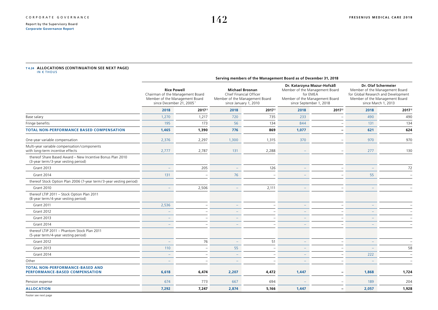# <span id="page-39-0"></span>T4.24 **ALLOCATIONS (CONTINUATION SEE NEXT PAGE)**<br>IN € THOUS

|                                                                                                  | Serving members of the Management Board as of December 31, 2018                                                                  |                   |                                                                                                              |                          |                                                                                                                                       |                          |                                                                                                                                                       |                   |
|--------------------------------------------------------------------------------------------------|----------------------------------------------------------------------------------------------------------------------------------|-------------------|--------------------------------------------------------------------------------------------------------------|--------------------------|---------------------------------------------------------------------------------------------------------------------------------------|--------------------------|-------------------------------------------------------------------------------------------------------------------------------------------------------|-------------------|
|                                                                                                  | <b>Rice Powell</b><br>Chairman of the Management Board<br>Member of the Management Board<br>since December 21, 2005 <sup>1</sup> |                   | <b>Michael Brosnan</b><br>Chief Financial Officer<br>Member of the Management Board<br>since January 1, 2010 |                          | Dr. Katarzyna Mazur-Hofsäß<br>Member of the Management Board<br>for EMEA<br>Member of the Management Board<br>since September 1, 2018 |                          | Dr. Olaf Schermeier<br>Member of the Management Board<br>for Global Research and Development<br>Member of the Management Board<br>since March 1, 2013 |                   |
|                                                                                                  | 2018                                                                                                                             | 2017 <sup>2</sup> | 2018                                                                                                         | 2017 <sup>2</sup>        | 2018                                                                                                                                  | 2017 <sup>2</sup>        | 2018                                                                                                                                                  | 2017 <sup>2</sup> |
| Base salary                                                                                      | 1,270                                                                                                                            | 1,217             | 720                                                                                                          | 735                      | 233                                                                                                                                   |                          | 490                                                                                                                                                   | 490               |
| Fringe benefits                                                                                  | 195                                                                                                                              | 173               | 56                                                                                                           | 134                      | 844                                                                                                                                   |                          | 131                                                                                                                                                   | 134               |
| <b>TOTAL NON-PERFORMANCE BASED COMPENSATION</b>                                                  | 1,465                                                                                                                            | 1,390             | 776                                                                                                          | 869                      | 1,077                                                                                                                                 |                          | 621                                                                                                                                                   | 624               |
| One-year variable compensation                                                                   | 2,376                                                                                                                            | 2,297             | 1,300                                                                                                        | 1,315                    | 370                                                                                                                                   |                          | 970                                                                                                                                                   | 970               |
| Multi-year variable compensation/components<br>with long-term incentive effects                  | 2,777                                                                                                                            | 2,787             | 131                                                                                                          | 2,288                    |                                                                                                                                       |                          | 277                                                                                                                                                   | 130               |
| thereof Share Based Award - New Incentive Bonus Plan 2010<br>(3-year term/3-year vesting period) |                                                                                                                                  |                   |                                                                                                              |                          |                                                                                                                                       |                          |                                                                                                                                                       |                   |
| <b>Grant 2013</b>                                                                                |                                                                                                                                  | 205               |                                                                                                              | 126                      |                                                                                                                                       |                          |                                                                                                                                                       | 72                |
| <b>Grant 2014</b>                                                                                | 131                                                                                                                              |                   | 76                                                                                                           |                          |                                                                                                                                       |                          | 55                                                                                                                                                    |                   |
| thereof Stock Option Plan 2006 (7-year term/3-year vesting period)                               |                                                                                                                                  |                   |                                                                                                              |                          |                                                                                                                                       |                          |                                                                                                                                                       |                   |
| <b>Grant 2010</b>                                                                                |                                                                                                                                  | 2,506             |                                                                                                              | 2,111                    |                                                                                                                                       |                          |                                                                                                                                                       |                   |
| thereof LTIP 2011 - Stock Option Plan 2011<br>(8-year term/4-year vesting period)                |                                                                                                                                  |                   |                                                                                                              |                          |                                                                                                                                       |                          |                                                                                                                                                       |                   |
| Grant 2011                                                                                       | 2,536                                                                                                                            |                   |                                                                                                              |                          |                                                                                                                                       |                          |                                                                                                                                                       |                   |
| Grant 2012                                                                                       |                                                                                                                                  |                   |                                                                                                              |                          |                                                                                                                                       |                          |                                                                                                                                                       |                   |
| Grant 2013                                                                                       |                                                                                                                                  |                   |                                                                                                              |                          |                                                                                                                                       |                          |                                                                                                                                                       |                   |
| Grant 2014                                                                                       |                                                                                                                                  |                   |                                                                                                              |                          |                                                                                                                                       |                          |                                                                                                                                                       |                   |
| thereof LTIP 2011 - Phantom Stock Plan 2011<br>(5-year term/4-year vesting period)               |                                                                                                                                  |                   |                                                                                                              |                          |                                                                                                                                       |                          |                                                                                                                                                       |                   |
| <b>Grant 2012</b>                                                                                |                                                                                                                                  | 76                |                                                                                                              | 51                       |                                                                                                                                       |                          |                                                                                                                                                       |                   |
| Grant 2013                                                                                       | 110                                                                                                                              |                   | 55                                                                                                           | $\overline{\phantom{m}}$ |                                                                                                                                       |                          |                                                                                                                                                       | 58                |
| Grant 2014                                                                                       |                                                                                                                                  |                   |                                                                                                              |                          |                                                                                                                                       |                          | 222                                                                                                                                                   |                   |
| Other                                                                                            |                                                                                                                                  |                   |                                                                                                              |                          |                                                                                                                                       |                          |                                                                                                                                                       |                   |
| <b>TOTAL NON-PERFORMANCE-BASED AND</b><br>PERFORMANCE-BASED COMPENSATION                         | 6,618                                                                                                                            | 6,474             | 2,207                                                                                                        | 4,472                    | 1,447                                                                                                                                 |                          | 1,868                                                                                                                                                 | 1,724             |
| Pension expense                                                                                  | 674                                                                                                                              | 773               | 667                                                                                                          | 694                      |                                                                                                                                       |                          | 189                                                                                                                                                   | 204               |
| <b>ALLOCATION</b>                                                                                | 7,292                                                                                                                            | 7,247             | 2,874                                                                                                        | 5,166                    | 1,447                                                                                                                                 | $\overline{\phantom{0}}$ | 2,057                                                                                                                                                 | 1,928             |
|                                                                                                  |                                                                                                                                  |                   |                                                                                                              |                          |                                                                                                                                       |                          |                                                                                                                                                       |                   |

Footer see next page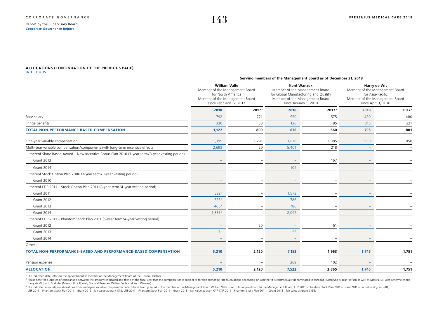#### **ALLOCATIONS (CONTINUATION OF THE PREVIOUS PAGE)** IN € THOUS

|                                                                                               | Serving members of the Management Board as of December 31, 2018                                                                          |                   |                                                                                                                                                         |                   |                                                                                                                             |                   |  |
|-----------------------------------------------------------------------------------------------|------------------------------------------------------------------------------------------------------------------------------------------|-------------------|---------------------------------------------------------------------------------------------------------------------------------------------------------|-------------------|-----------------------------------------------------------------------------------------------------------------------------|-------------------|--|
|                                                                                               | <b>William Valle</b><br>Member of the Management Board<br>for North America<br>Member of the Management Board<br>since February 17, 2017 |                   | <b>Kent Wanzek</b><br>Member of the Management Board<br>for Global Manufacturing and Quality<br>Member of the Management Board<br>since January 1, 2010 |                   | Harry de Wit<br>Member of the Management Board<br>for Asia-Pacific<br>Member of the Management Board<br>since April 1, 2016 |                   |  |
|                                                                                               | 2018                                                                                                                                     | 2017 <sup>2</sup> | 2018                                                                                                                                                    | 2017 <sup>2</sup> | 2018                                                                                                                        | 2017 <sup>2</sup> |  |
| Base salary                                                                                   | 792                                                                                                                                      | 721               | 550                                                                                                                                                     | 575               | 480                                                                                                                         | 480               |  |
| Fringe benefits                                                                               | 330                                                                                                                                      | 88                | 126                                                                                                                                                     | 85                | 315                                                                                                                         | 321               |  |
| <b>TOTAL NON-PERFORMANCE BASED COMPENSATION</b>                                               | 1,122                                                                                                                                    | 809               | 676                                                                                                                                                     | 660               | 795                                                                                                                         | 801               |  |
| One-year variable compensation                                                                | 1,395                                                                                                                                    | 1,291             | 1,076                                                                                                                                                   | 1,085             | 950                                                                                                                         | 950               |  |
| Multi-year variable compensation/components with long-term incentive effects                  | 2,693                                                                                                                                    | 20                | 5,401                                                                                                                                                   | 218               | $\overline{\phantom{m}}$                                                                                                    |                   |  |
| thereof Share Based Award - New Incentive Bonus Plan 2010 (3-year term/3-year vesting period) |                                                                                                                                          |                   |                                                                                                                                                         |                   |                                                                                                                             |                   |  |
| <b>Grant 2013</b>                                                                             |                                                                                                                                          |                   |                                                                                                                                                         | 167               |                                                                                                                             |                   |  |
| Grant 2014                                                                                    |                                                                                                                                          |                   | 104                                                                                                                                                     |                   |                                                                                                                             |                   |  |
| thereof Stock Option Plan 2006 (7-year term/3-year vesting period)                            |                                                                                                                                          |                   |                                                                                                                                                         |                   |                                                                                                                             |                   |  |
| <b>Grant 2010</b>                                                                             |                                                                                                                                          |                   |                                                                                                                                                         |                   |                                                                                                                             |                   |  |
| thereof LTIP 2011 - Stock Option Plan 2011 (8-year term/4-year vesting period)                |                                                                                                                                          |                   |                                                                                                                                                         |                   |                                                                                                                             |                   |  |
| Grant 2011                                                                                    | 532 <sup>3</sup>                                                                                                                         |                   | 1,573                                                                                                                                                   |                   |                                                                                                                             |                   |  |
| Grant 2012                                                                                    | 3333                                                                                                                                     |                   | 786                                                                                                                                                     |                   |                                                                                                                             |                   |  |
| <b>Grant 2013</b>                                                                             | 466 <sup>3</sup>                                                                                                                         |                   | 786                                                                                                                                                     |                   |                                                                                                                             |                   |  |
| Grant 2014                                                                                    | 1,331 <sup>3</sup>                                                                                                                       |                   | 2,097                                                                                                                                                   |                   |                                                                                                                             |                   |  |
| thereof LTIP 2011 - Phantom Stock Plan 2011 (5-year term/4-year vesting period)               |                                                                                                                                          |                   |                                                                                                                                                         |                   |                                                                                                                             |                   |  |
| Grant 2012                                                                                    |                                                                                                                                          | 20                |                                                                                                                                                         | 51                |                                                                                                                             |                   |  |
| <b>Grant 2013</b>                                                                             | 31                                                                                                                                       |                   | 55                                                                                                                                                      |                   |                                                                                                                             |                   |  |
| Grant 2014                                                                                    |                                                                                                                                          |                   |                                                                                                                                                         |                   |                                                                                                                             |                   |  |
| Other                                                                                         |                                                                                                                                          |                   |                                                                                                                                                         |                   |                                                                                                                             |                   |  |
| TOTAL NON-PERFORMANCE-BASED AND PERFORMANCE-BASED COMPENSATION                                | 5,210                                                                                                                                    | 2,120             | 7,153                                                                                                                                                   | 1,963             | 1,745                                                                                                                       | 1,751             |  |
| Pension expense                                                                               |                                                                                                                                          |                   | 369                                                                                                                                                     | 402               |                                                                                                                             |                   |  |
| <b>ALLOCATION</b>                                                                             | 5,210                                                                                                                                    | 2,120             | 7,522                                                                                                                                                   | 2,365             | 1,745                                                                                                                       | 1,751             |  |

<sup>1</sup> The indicated date refers to the appointment as member of the Management Board of the General Partner.

<sup>2</sup> Please note for purposes of comparison between the amounts indicated and those of the fiscal year that the compensation is subject to foreign exchange rate fluctuations depending on whether it is contractually denomina Harry de Wit) or U.S. dollar (Messrs. Rice Powell, Michael Brosnan, William Valle and Kent Wanzek).

<sup>3</sup> The indicated amounts are allocations from multi-vear variable compensation which have been granted to the member of the Management Board William Valle prior to his appointment to the Management Board: LTIP 2011 - Phan

LTIP 2011 - Phantom Stock Plan 2011 - Grant 2012 - fair value at grant €48, LTIP 2011 - Phantom Stock Plan 2011 - Grant 2013 - fair value at grant €47, LTIP 2011 - Phantom Stock Plan 2011 - Grant 2014 - fair value at gran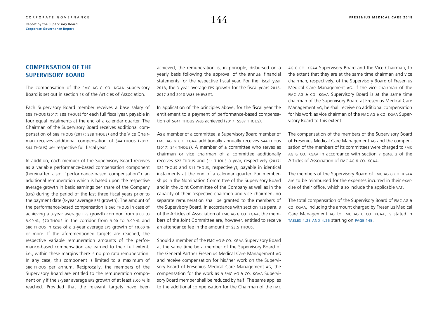### **COMPENSATION OF THE SUPERVISORY BOARD**

The compensation of the FMC AG & CO. KGAA Supervisory Board is set out in section 13 of the Articles of Association.

Each Supervisory Board member receives a base salary of \$88 thous (2017: \$88 thous) for each full fiscal year, payable in four equal instalments at the end of a calendar quarter. The Chairman of the Supervisory Board receives additional compensation of \$88 thous (2017: \$88 thous) and the Vice Chairman receives additional compensation of \$44 THOUS (2017: \$44 thous) per respective full fiscal year.

In addition, each member of the Supervisory Board receives as a variable performance-based compensation component (hereinafter also: "performance-based compensation") an additional remuneration which is based upon the respective average growth in basic earnings per share of the Company (eps) during the period of the last three fiscal years prior to the payment date (3-year average eps growth). The amount of the performance-based compensation is \$60 thous in case of achieving a 3-year average eps growth corridor from 8.00 to 8.99 %, \$70 thous in the corridor from 9.00 to 9.99 % and \$80 thous in case of a 3-year average eps growth of 10.00 % or more. If the aforementioned targets are reached, the respective variable remuneration amounts of the performance-based compensation are earned to their full extent, i.e., within these margins there is no pro rata remuneration. In any case, this component is limited to a maximum of \$80 thous per annum. Reciprocally, the members of the Supervisory Board are entitled to the remuneration component only if the 3-year average eps growth of at least 8.00 % is reached. Provided that the relevant targets have been

achieved, the remuneration is, in principle, disbursed on a yearly basis following the approval of the annual financial statements for the respective fiscal year. For the fiscal year 2018, the 3-year average eps growth for the fiscal years 2016, 2017 and 2018 was relevant.

In application of the principles above, for the fiscal year the entitlement to a payment of performance-based compensation of \$641 thous was achieved (2017: \$587 thous).

As a member of a committee, a Supervisory Board member of fmc ag & co. kgaa additionally annually receives \$44 thous (2017: \$44 thous). A member of a committee who serves as chairman or vice chairman of a committee additionally receives \$22 thous and \$11 thous a year, respectively (2017: \$22 thous and \$11 thous, respectively), payable in identical instalments at the end of a calendar quarter. For memberships in the Nomination Committee of the Supervisory Board and in the Joint Committee of the Company as well as in the capacity of their respective chairmen and vice chairmen, no separate remuneration shall be granted to the members of the Supervisory Board. In accordance with section 13e para. 3 of the Articles of Association of FMC AG & CO. KGAA, the members of the Joint Committee are, however, entitled to receive an attendance fee in the amount of \$3.5 THOUS.

Should a member of the fmc ag & co. kgaa Supervisory Board at the same time be a member of the Supervisory Board of the General Partner Fresenius Medical Care Management ag and receive compensation for his/ her work on the Supervisory Board of Fresenius Medical Care Management ag, the compensation for the work as a fmc ag & co. kgaa Supervisory Board member shall be reduced by half. The same applies to the additional compensation for the Chairman of the fmc ag & co. kgaa Supervisory Board and the Vice Chairman, to the extent that they are at the same time chairman and vice chairman, respectively, of the Supervisory Board of Fresenius Medical Care Management ag. If the vice chairman of the FMC AG & CO. KGAA Supervisory Board is at the same time chairman of the Supervisory Board at Fresenius Medical Care Management ag, he shall receive no additional compensation for his work as vice chairman of the FMC AG & CO. KGAA Supervisory Board to this extent.

The compensation of the members of the Supervisory Board of Fresenius Medical Care Management ag and the compensation of the members of its committees were charged to fmc ag & co. kgaa in accordance with section 7 para. 3 of the Articles of Association of fmc ag & co. kgaa.

The members of the Supervisory Board of FMC AG & CO. KGAA are to be reimbursed for the expenses incurred in their exercise of their office, which also include the applicable vat.

The total compensation of the Supervisory Board of fmc ag & co. kgaa, including the amount charged by Fresenius Medical Care Management AG to FMC AG & CO. KGAA, is stated in [tables 4.25 and 4.26](#page-42-0) starting on [page 145](#page-42-0).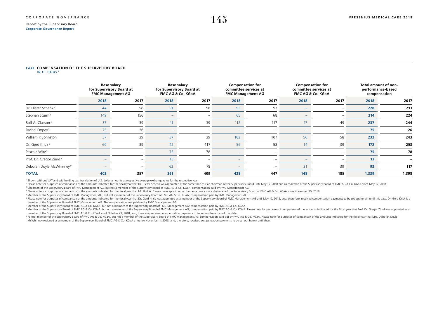#### <span id="page-42-0"></span>**T 4.25 COMPENSATION OF THE SUPERVISORY BOARD** IN  $\epsilon$  Thous

|                                      | <b>Base salary</b><br>for Supervisory Board at<br><b>FMC Management AG</b> |                          | <b>Base salary</b><br>for Supervisory Board at<br>FMC AG & Co. KGaA |                          | <b>Compensation for</b><br>committee services at<br><b>FMC Management AG</b> |                          | <b>Compensation for</b><br>committee services at<br>FMC AG & Co. KGaA |                          | Total amount of non-<br>performance-based<br>compensation |       |
|--------------------------------------|----------------------------------------------------------------------------|--------------------------|---------------------------------------------------------------------|--------------------------|------------------------------------------------------------------------------|--------------------------|-----------------------------------------------------------------------|--------------------------|-----------------------------------------------------------|-------|
|                                      | 2018                                                                       | 2017                     | 2018                                                                | 2017                     | 2018                                                                         | 2017                     | 2018                                                                  | 2017                     | 2018                                                      | 2017  |
| Dr. Dieter Schenk <sup>2</sup>       | 44                                                                         | 58                       | 91                                                                  | 58                       | 93                                                                           | 97                       |                                                                       |                          | 228                                                       | 213   |
| Stephan Sturm <sup>3</sup>           | 149                                                                        | 156                      |                                                                     |                          | 65                                                                           | 68                       |                                                                       |                          | 214                                                       | 224   |
| Rolf A. Classon <sup>4</sup>         | 37                                                                         | 39                       | 41                                                                  | 39                       | 112                                                                          | 117                      | 47                                                                    | 49                       | 237                                                       | 244   |
| Rachel Empey <sup>5</sup>            | 75                                                                         | 26                       | $-$                                                                 | $\overline{\phantom{a}}$ | $-$                                                                          | $\overline{\phantom{a}}$ | $\overline{\phantom{a}}$                                              | $\overline{\phantom{a}}$ | 75                                                        | 26    |
| William P. Johnston                  | 37                                                                         | 39                       | 37                                                                  | 39                       | 102                                                                          | 107                      | 56                                                                    | 58                       | 232                                                       | 243   |
| Dr. Gerd Krick <sup>6</sup>          | 60                                                                         | 39                       | 42                                                                  | 117                      | 56                                                                           | 58                       | 14                                                                    | 39                       | $172$                                                     | 253   |
| Pascale Witz <sup>7</sup>            |                                                                            | -                        | 75                                                                  | 78                       |                                                                              | $\overline{\phantom{a}}$ |                                                                       | -                        | 75                                                        | 78    |
| Prof. Dr. Gregor Zünd <sup>8</sup>   |                                                                            | -                        | 13                                                                  |                          |                                                                              | $\overline{\phantom{a}}$ |                                                                       |                          | 13                                                        |       |
| Deborah Doyle McWhinney <sup>9</sup> |                                                                            | $\overline{\phantom{a}}$ | 62                                                                  | 78                       |                                                                              | $\overline{\phantom{a}}$ | 31                                                                    | 39                       | 93                                                        | 117   |
| <b>TOTAL</b>                         | 402                                                                        | 357                      | 361                                                                 | 409                      | 428                                                                          | 447                      | 148                                                                   | 185                      | 1,339                                                     | 1,398 |

1 Shown without VAT and withholding tax; translation of U.S. dollar amounts at respective average exchange rates for the respective year.

<sup>2</sup> Please note for purposes of comparison of the amounts indicated for the fiscal year that Dr. Dieter Schenk was appointed at the same time as vice chairman of the Supervisory Board until May 17, 2018 and as chairman of

3 Chairman of the Supervisory Board of FMC Management AG, but not a member of the Supervisory Board of FMC AG & Co. KGaA; compensation paid by FMC Management AG.

4 Please note for purposes of comparison of the amounts indicated for the fiscal year that Mr. Rolf A. Classon was appointed at the same time as vice chairman of the Supervisory Board of FMC AG & Co. KGaA since November 30

5 Member of the Supervisory Board of FMC Management AG, but not a member of the Supervisory Board of FMC AG & Co. KGaA; compensation paid by FMC Management AG.

<sup>6</sup> Please note for purposes of comparison of the amounts indicated for the fiscal year that Dr. Gerd Krick was appointed as a member of the Supervisory Board of FMC Management AG until May 17, 2018, and, therefore, receiv member of the Supervisory Board of FMC Management AG. The compensation was paid out by FMC Management AG.

7 Member of the Supervisory Board of FMC AG & Co. KGaA, but not a member of the Supervisory Board of FMC Management AG; compensation paid by FMC AG & Co. KGaA.

<sup>8</sup> Member of the Supervisory Board of FMC AG & Co. KGaA, but not a member of the Supervisory Board of FMC Management AG; compensation paid by FMC AG & Co. KGaA. Please note for purposes of comparison of the amounts indica member of the Supervisory Board of FMC AG & Co. KGaA as of October 29, 2018, and, therefore, received compensation payments to be set out herein as of this date.

<sup>9</sup> Former member of the Supervisory Board of FMC AG & Co. KGaA, but not a member of the Supervisory Board of FMC Management AG: compensation paid out by FMC AG & Co. KGaA. Please note for purposes of comparison of the amo McWhinney resigned as a member of the Supervisory Board of FMC AG & Co. KGaA effective November 1, 2018, and, therefore, received compensation payments to be set out herein until then.